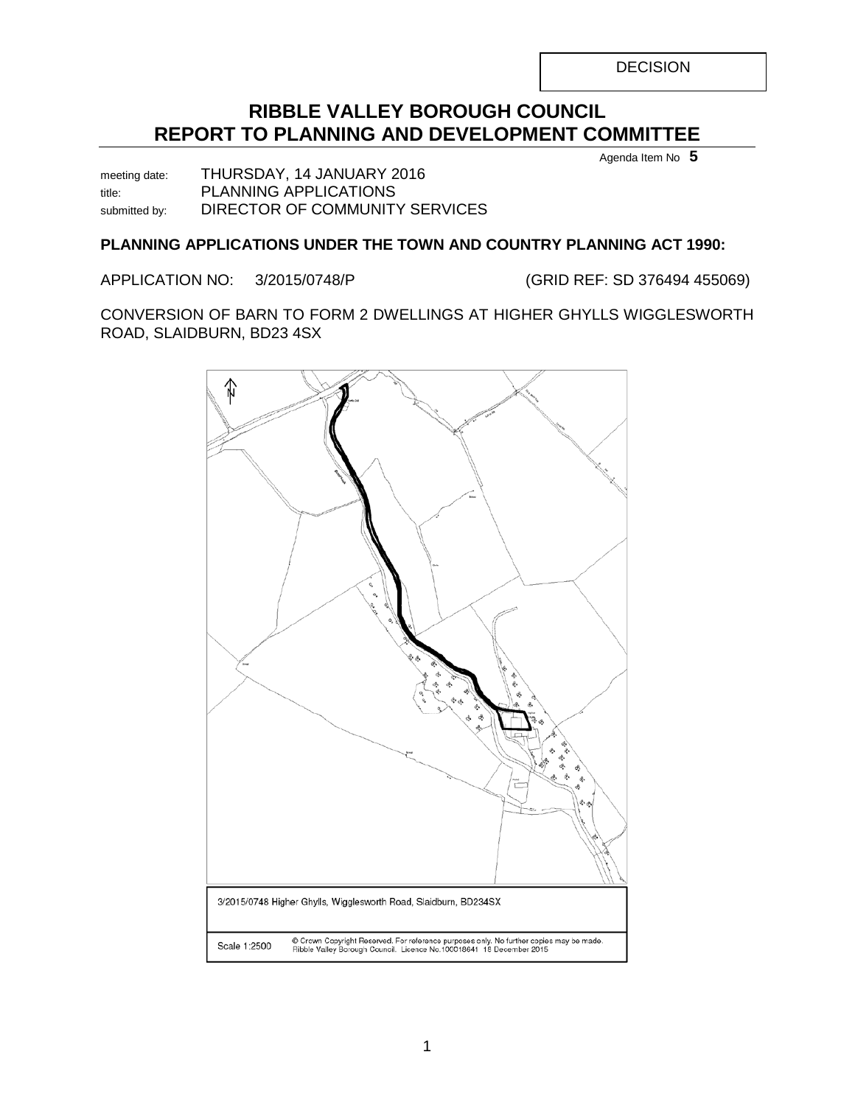DECISION

# **RIBBLE VALLEY BOROUGH COUNCIL REPORT TO PLANNING AND DEVELOPMENT COMMITTEE**

Agenda Item No **5**

meeting date: THURSDAY, 14 JANUARY 2016 title: PLANNING APPLICATIONS submitted by: DIRECTOR OF COMMUNITY SERVICES

### **PLANNING APPLICATIONS UNDER THE TOWN AND COUNTRY PLANNING ACT 1990:**

APPLICATION NO: 3/2015/0748/P (GRID REF: SD 376494 455069)

CONVERSION OF BARN TO FORM 2 DWELLINGS AT HIGHER GHYLLS WIGGLESWORTH ROAD, SLAIDBURN, BD23 4SX

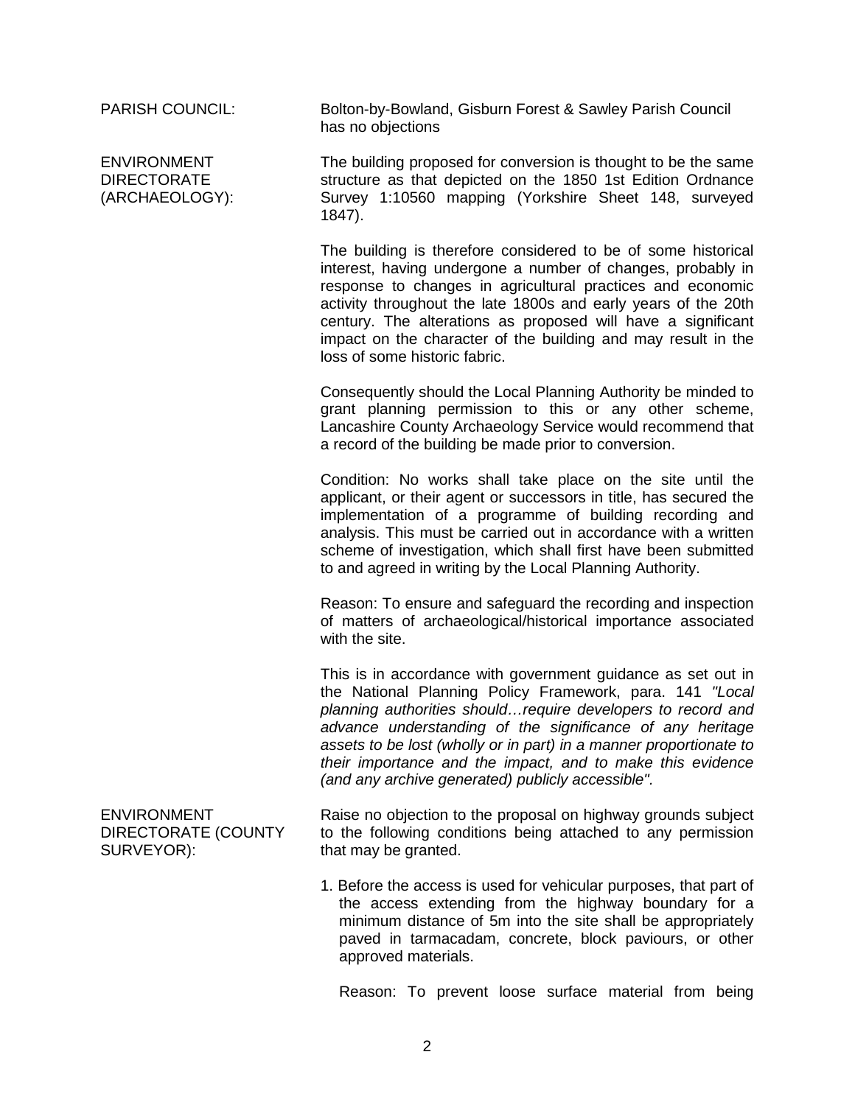ENVIRONMENT DIRECTORATE (ARCHAEOLOGY):

PARISH COUNCIL: Bolton-by-Bowland, Gisburn Forest & Sawley Parish Council has no objections

> The building proposed for conversion is thought to be the same structure as that depicted on the 1850 1st Edition Ordnance Survey 1:10560 mapping (Yorkshire Sheet 148, surveyed 1847).

> The building is therefore considered to be of some historical interest, having undergone a number of changes, probably in response to changes in agricultural practices and economic activity throughout the late 1800s and early years of the 20th century. The alterations as proposed will have a significant impact on the character of the building and may result in the loss of some historic fabric.

> Consequently should the Local Planning Authority be minded to grant planning permission to this or any other scheme, Lancashire County Archaeology Service would recommend that a record of the building be made prior to conversion.

> Condition: No works shall take place on the site until the applicant, or their agent or successors in title, has secured the implementation of a programme of building recording and analysis. This must be carried out in accordance with a written scheme of investigation, which shall first have been submitted to and agreed in writing by the Local Planning Authority.

> Reason: To ensure and safeguard the recording and inspection of matters of archaeological/historical importance associated with the site.

> This is in accordance with government guidance as set out in the National Planning Policy Framework, para. 141 *"Local planning authorities should…require developers to record and advance understanding of the significance of any heritage assets to be lost (wholly or in part) in a manner proportionate to their importance and the impact, and to make this evidence (and any archive generated) publicly accessible".*

> Raise no objection to the proposal on highway grounds subject to the following conditions being attached to any permission that may be granted.

> 1. Before the access is used for vehicular purposes, that part of the access extending from the highway boundary for a minimum distance of 5m into the site shall be appropriately paved in tarmacadam, concrete, block paviours, or other approved materials.

Reason: To prevent loose surface material from being

ENVIRONMENT DIRECTORATE (COUNTY SURVEYOR):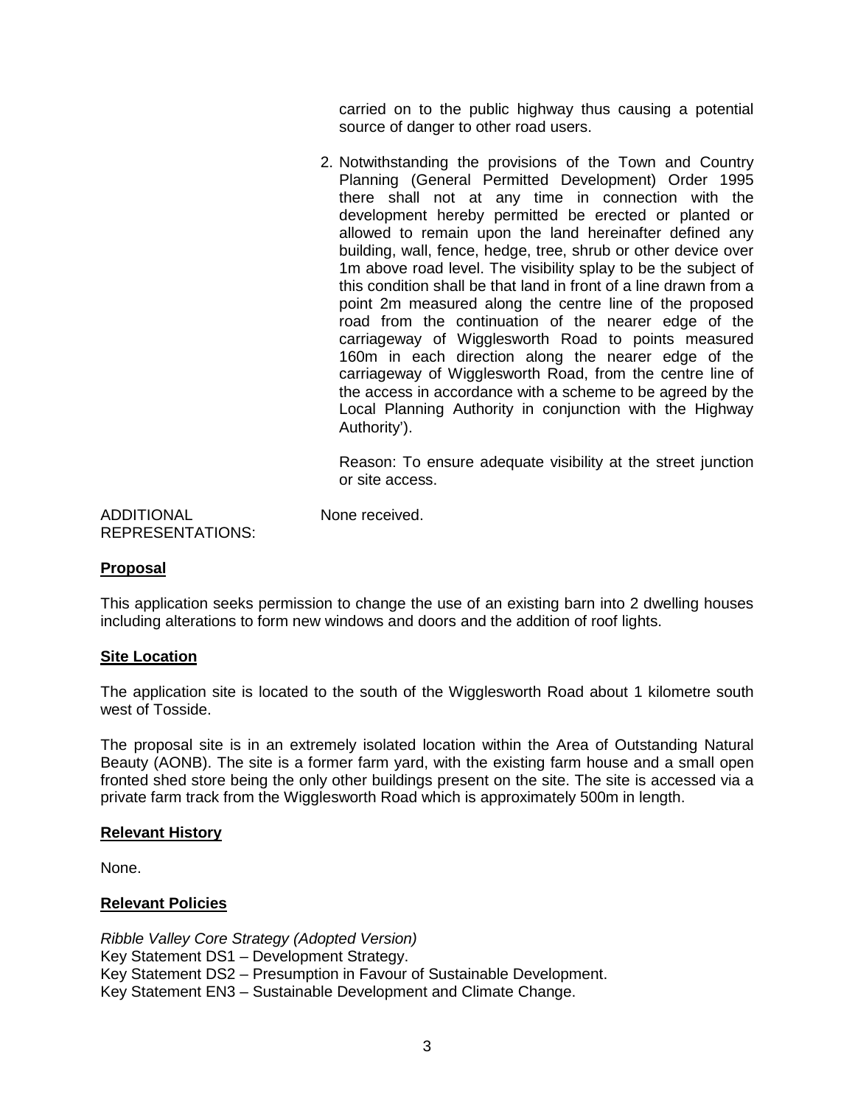carried on to the public highway thus causing a potential source of danger to other road users.

2. Notwithstanding the provisions of the Town and Country Planning (General Permitted Development) Order 1995 there shall not at any time in connection with the development hereby permitted be erected or planted or allowed to remain upon the land hereinafter defined any building, wall, fence, hedge, tree, shrub or other device over 1m above road level. The visibility splay to be the subject of this condition shall be that land in front of a line drawn from a point 2m measured along the centre line of the proposed road from the continuation of the nearer edge of the carriageway of Wigglesworth Road to points measured 160m in each direction along the nearer edge of the carriageway of Wigglesworth Road, from the centre line of the access in accordance with a scheme to be agreed by the Local Planning Authority in conjunction with the Highway Authority').

Reason: To ensure adequate visibility at the street junction or site access.

ADDITIONAL REPRESENTATIONS: None received.

### **Proposal**

This application seeks permission to change the use of an existing barn into 2 dwelling houses including alterations to form new windows and doors and the addition of roof lights.

### **Site Location**

The application site is located to the south of the Wigglesworth Road about 1 kilometre south west of Tosside.

The proposal site is in an extremely isolated location within the Area of Outstanding Natural Beauty (AONB). The site is a former farm yard, with the existing farm house and a small open fronted shed store being the only other buildings present on the site. The site is accessed via a private farm track from the Wigglesworth Road which is approximately 500m in length.

### **Relevant History**

None.

### **Relevant Policies**

*Ribble Valley Core Strategy (Adopted Version)* Key Statement DS1 – Development Strategy. Key Statement DS2 – Presumption in Favour of Sustainable Development. Key Statement EN3 – Sustainable Development and Climate Change.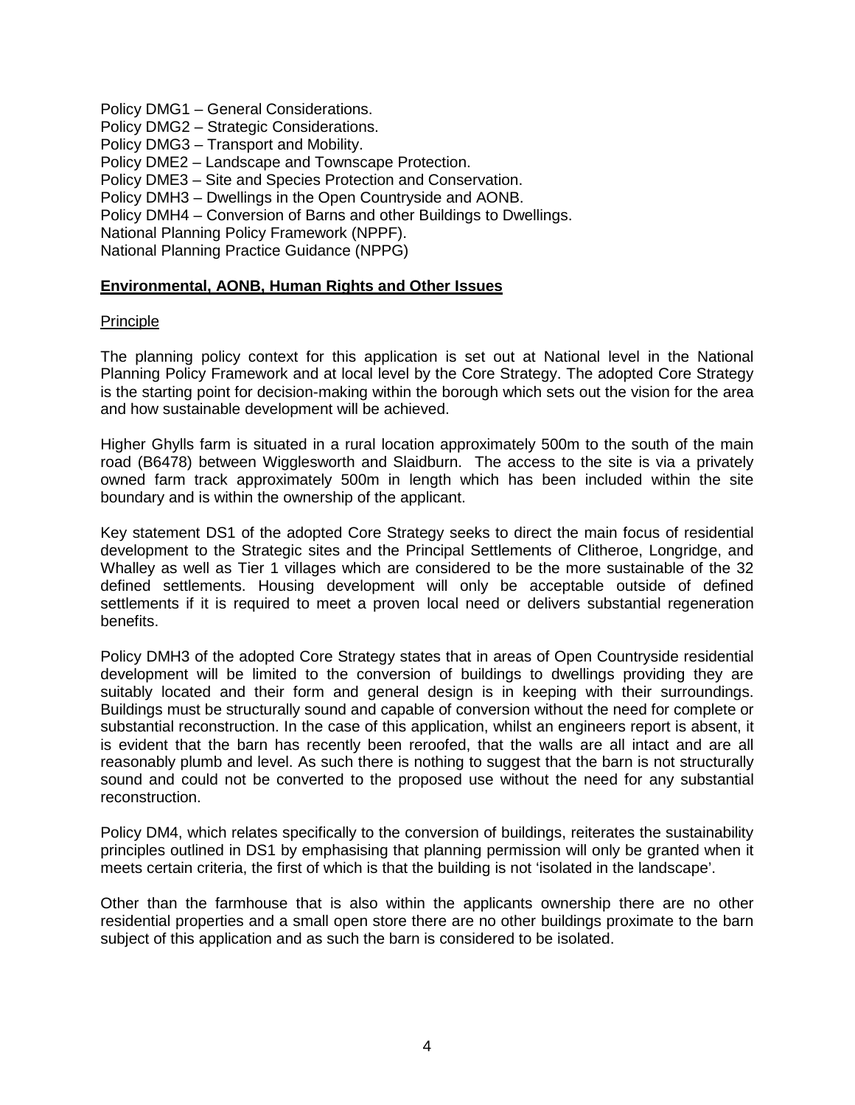Policy DMG1 – General Considerations.

Policy DMG2 – Strategic Considerations.

Policy DMG3 – Transport and Mobility.

Policy DME2 – Landscape and Townscape Protection.

Policy DME3 – Site and Species Protection and Conservation.

Policy DMH3 – Dwellings in the Open Countryside and AONB.

Policy DMH4 – Conversion of Barns and other Buildings to Dwellings.

National Planning Policy Framework (NPPF).

National Planning Practice Guidance (NPPG)

### **Environmental, AONB, Human Rights and Other Issues**

### Principle

The planning policy context for this application is set out at National level in the National Planning Policy Framework and at local level by the Core Strategy. The adopted Core Strategy is the starting point for decision-making within the borough which sets out the vision for the area and how sustainable development will be achieved.

Higher Ghylls farm is situated in a rural location approximately 500m to the south of the main road (B6478) between Wigglesworth and Slaidburn. The access to the site is via a privately owned farm track approximately 500m in length which has been included within the site boundary and is within the ownership of the applicant.

Key statement DS1 of the adopted Core Strategy seeks to direct the main focus of residential development to the Strategic sites and the Principal Settlements of Clitheroe, Longridge, and Whalley as well as Tier 1 villages which are considered to be the more sustainable of the 32 defined settlements. Housing development will only be acceptable outside of defined settlements if it is required to meet a proven local need or delivers substantial regeneration benefits.

Policy DMH3 of the adopted Core Strategy states that in areas of Open Countryside residential development will be limited to the conversion of buildings to dwellings providing they are suitably located and their form and general design is in keeping with their surroundings. Buildings must be structurally sound and capable of conversion without the need for complete or substantial reconstruction. In the case of this application, whilst an engineers report is absent, it is evident that the barn has recently been reroofed, that the walls are all intact and are all reasonably plumb and level. As such there is nothing to suggest that the barn is not structurally sound and could not be converted to the proposed use without the need for any substantial reconstruction.

Policy DM4, which relates specifically to the conversion of buildings, reiterates the sustainability principles outlined in DS1 by emphasising that planning permission will only be granted when it meets certain criteria, the first of which is that the building is not 'isolated in the landscape'.

Other than the farmhouse that is also within the applicants ownership there are no other residential properties and a small open store there are no other buildings proximate to the barn subject of this application and as such the barn is considered to be isolated.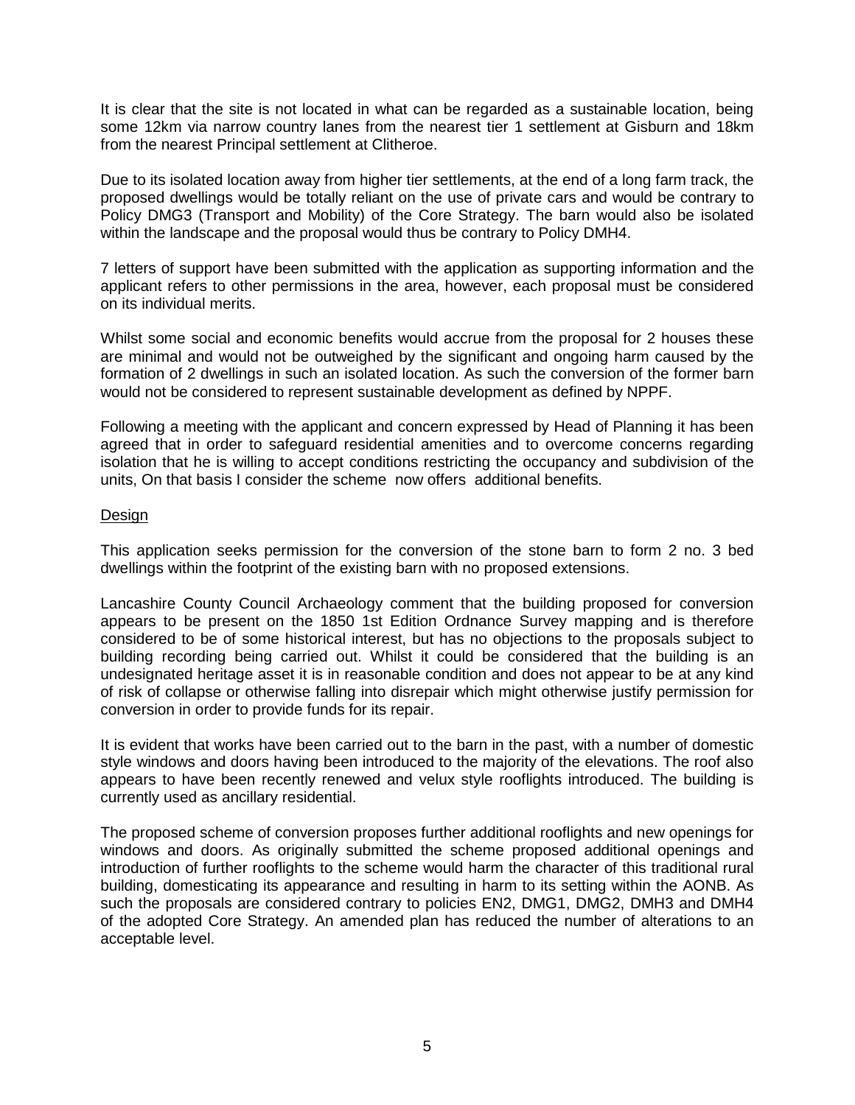It is clear that the site is not located in what can be regarded as a sustainable location, being some 12km via narrow country lanes from the nearest tier 1 settlement at Gisburn and 18km from the nearest Principal settlement at Clitheroe.

Due to its isolated location away from higher tier settlements, at the end of a long farm track, the proposed dwellings would be totally reliant on the use of private cars and would be contrary to Policy DMG3 (Transport and Mobility) of the Core Strategy. The barn would also be isolated within the landscape and the proposal would thus be contrary to Policy DMH4.

7 letters of support have been submitted with the application as supporting information and the applicant refers to other permissions in the area, however, each proposal must be considered on its individual merits.

Whilst some social and economic benefits would accrue from the proposal for 2 houses these are minimal and would not be outweighed by the significant and ongoing harm caused by the formation of 2 dwellings in such an isolated location. As such the conversion of the former barn would not be considered to represent sustainable development as defined by NPPF.

Following a meeting with the applicant and concern expressed by Head of Planning it has been agreed that in order to safeguard residential amenities and to overcome concerns regarding isolation that he is willing to accept conditions restricting the occupancy and subdivision of the units, On that basis I consider the scheme now offers additional benefits.

### Design

This application seeks permission for the conversion of the stone barn to form 2 no. 3 bed dwellings within the footprint of the existing barn with no proposed extensions.

Lancashire County Council Archaeology comment that the building proposed for conversion appears to be present on the 1850 1st Edition Ordnance Survey mapping and is therefore considered to be of some historical interest, but has no objections to the proposals subject to building recording being carried out. Whilst it could be considered that the building is an undesignated heritage asset it is in reasonable condition and does not appear to be at any kind of risk of collapse or otherwise falling into disrepair which might otherwise justify permission for conversion in order to provide funds for its repair.

It is evident that works have been carried out to the barn in the past, with a number of domestic style windows and doors having been introduced to the majority of the elevations. The roof also appears to have been recently renewed and velux style rooflights introduced. The building is currently used as ancillary residential.

The proposed scheme of conversion proposes further additional rooflights and new openings for windows and doors. As originally submitted the scheme proposed additional openings and introduction of further rooflights to the scheme would harm the character of this traditional rural building, domesticating its appearance and resulting in harm to its setting within the AONB. As such the proposals are considered contrary to policies EN2, DMG1, DMG2, DMH3 and DMH4 of the adopted Core Strategy. An amended plan has reduced the number of alterations to an acceptable level.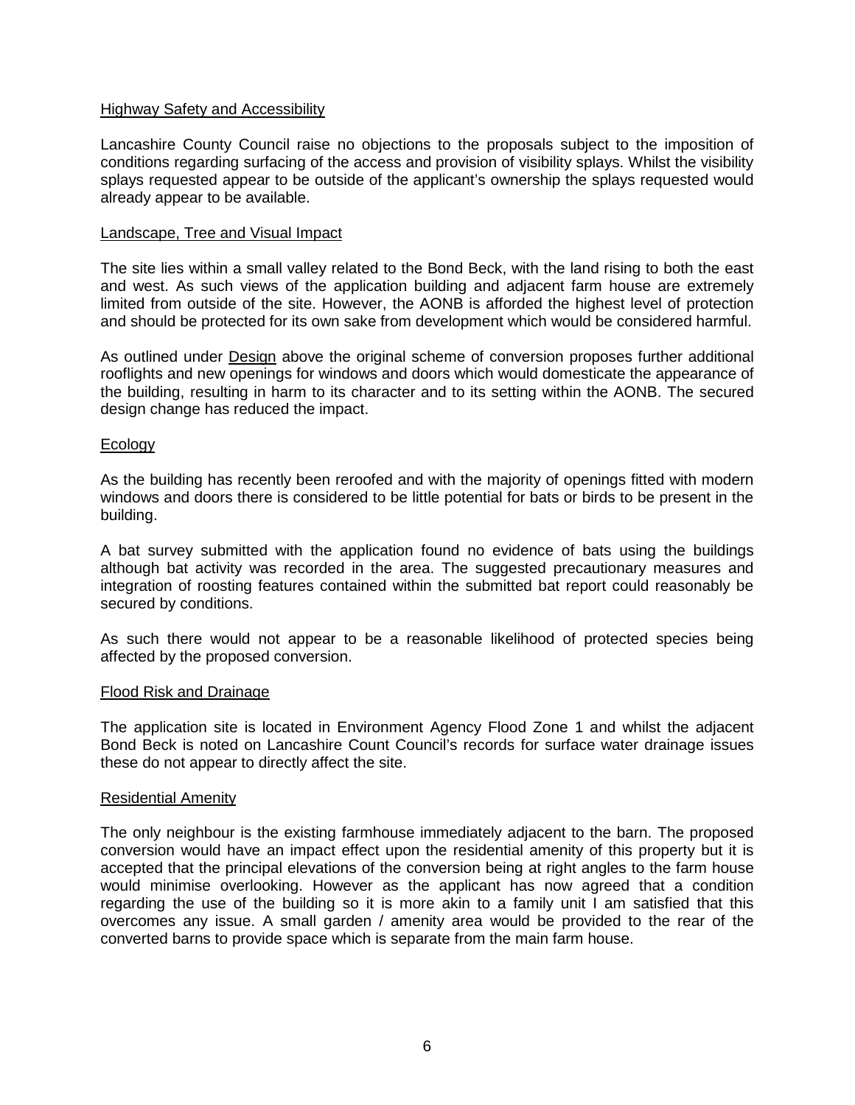### Highway Safety and Accessibility

Lancashire County Council raise no objections to the proposals subject to the imposition of conditions regarding surfacing of the access and provision of visibility splays. Whilst the visibility splays requested appear to be outside of the applicant's ownership the splays requested would already appear to be available.

### Landscape, Tree and Visual Impact

The site lies within a small valley related to the Bond Beck, with the land rising to both the east and west. As such views of the application building and adjacent farm house are extremely limited from outside of the site. However, the AONB is afforded the highest level of protection and should be protected for its own sake from development which would be considered harmful.

As outlined under Design above the original scheme of conversion proposes further additional rooflights and new openings for windows and doors which would domesticate the appearance of the building, resulting in harm to its character and to its setting within the AONB. The secured design change has reduced the impact.

### Ecology

As the building has recently been reroofed and with the majority of openings fitted with modern windows and doors there is considered to be little potential for bats or birds to be present in the building.

A bat survey submitted with the application found no evidence of bats using the buildings although bat activity was recorded in the area. The suggested precautionary measures and integration of roosting features contained within the submitted bat report could reasonably be secured by conditions.

As such there would not appear to be a reasonable likelihood of protected species being affected by the proposed conversion.

### Flood Risk and Drainage

The application site is located in Environment Agency Flood Zone 1 and whilst the adjacent Bond Beck is noted on Lancashire Count Council's records for surface water drainage issues these do not appear to directly affect the site.

### Residential Amenity

The only neighbour is the existing farmhouse immediately adjacent to the barn. The proposed conversion would have an impact effect upon the residential amenity of this property but it is accepted that the principal elevations of the conversion being at right angles to the farm house would minimise overlooking. However as the applicant has now agreed that a condition regarding the use of the building so it is more akin to a family unit I am satisfied that this overcomes any issue. A small garden / amenity area would be provided to the rear of the converted barns to provide space which is separate from the main farm house.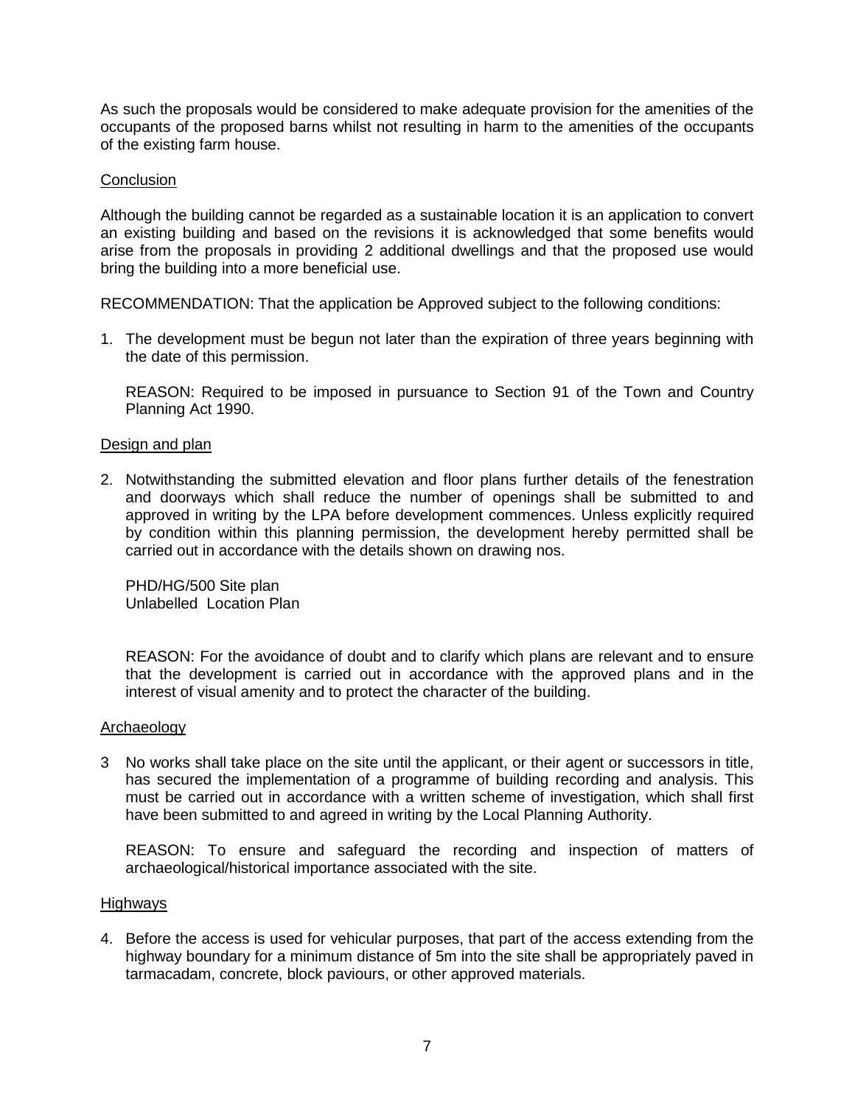As such the proposals would be considered to make adequate provision for the amenities of the occupants of the proposed barns whilst not resulting in harm to the amenities of the occupants of the existing farm house.

### **Conclusion**

Although the building cannot be regarded as a sustainable location it is an application to convert an existing building and based on the revisions it is acknowledged that some benefits would arise from the proposals in providing 2 additional dwellings and that the proposed use would bring the building into a more beneficial use.

RECOMMENDATION: That the application be Approved subject to the following conditions:

1. The development must be begun not later than the expiration of three years beginning with the date of this permission.

REASON: Required to be imposed in pursuance to Section 91 of the Town and Country Planning Act 1990.

### Design and plan

2. Notwithstanding the submitted elevation and floor plans further details of the fenestration and doorways which shall reduce the number of openings shall be submitted to and approved in writing by the LPA before development commences. Unless explicitly required by condition within this planning permission, the development hereby permitted shall be carried out in accordance with the details shown on drawing nos.

PHD/HG/500 Site plan Unlabelled Location Plan

REASON: For the avoidance of doubt and to clarify which plans are relevant and to ensure that the development is carried out in accordance with the approved plans and in the interest of visual amenity and to protect the character of the building.

### Archaeology

3 No works shall take place on the site until the applicant, or their agent or successors in title, has secured the implementation of a programme of building recording and analysis. This must be carried out in accordance with a written scheme of investigation, which shall first have been submitted to and agreed in writing by the Local Planning Authority.

REASON: To ensure and safeguard the recording and inspection of matters of archaeological/historical importance associated with the site.

### **Highways**

4. Before the access is used for vehicular purposes, that part of the access extending from the highway boundary for a minimum distance of 5m into the site shall be appropriately paved in tarmacadam, concrete, block paviours, or other approved materials.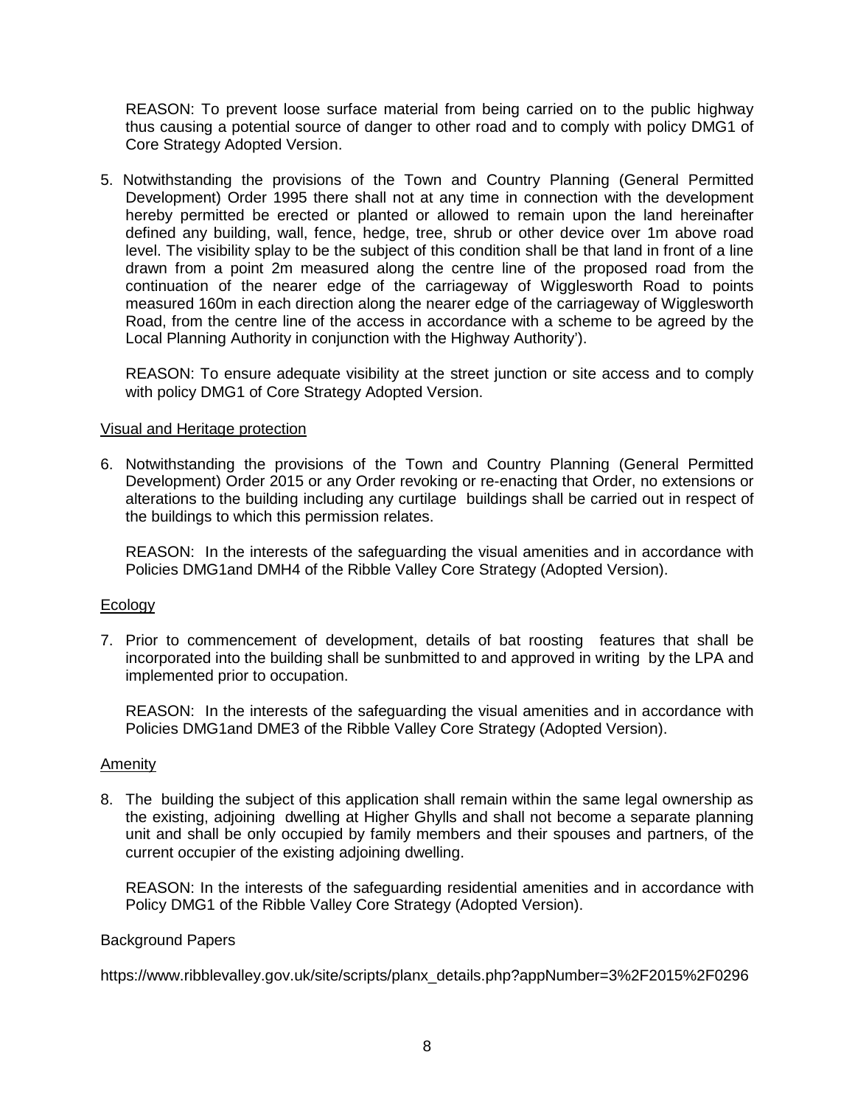REASON: To prevent loose surface material from being carried on to the public highway thus causing a potential source of danger to other road and to comply with policy DMG1 of Core Strategy Adopted Version.

5. Notwithstanding the provisions of the Town and Country Planning (General Permitted Development) Order 1995 there shall not at any time in connection with the development hereby permitted be erected or planted or allowed to remain upon the land hereinafter defined any building, wall, fence, hedge, tree, shrub or other device over 1m above road level. The visibility splay to be the subject of this condition shall be that land in front of a line drawn from a point 2m measured along the centre line of the proposed road from the continuation of the nearer edge of the carriageway of Wigglesworth Road to points measured 160m in each direction along the nearer edge of the carriageway of Wigglesworth Road, from the centre line of the access in accordance with a scheme to be agreed by the Local Planning Authority in conjunction with the Highway Authority').

REASON: To ensure adequate visibility at the street junction or site access and to comply with policy DMG1 of Core Strategy Adopted Version.

### Visual and Heritage protection

6. Notwithstanding the provisions of the Town and Country Planning (General Permitted Development) Order 2015 or any Order revoking or re-enacting that Order, no extensions or alterations to the building including any curtilage buildings shall be carried out in respect of the buildings to which this permission relates.

REASON: In the interests of the safeguarding the visual amenities and in accordance with Policies DMG1and DMH4 of the Ribble Valley Core Strategy (Adopted Version).

### **Ecology**

7. Prior to commencement of development, details of bat roosting features that shall be incorporated into the building shall be sunbmitted to and approved in writing by the LPA and implemented prior to occupation.

REASON: In the interests of the safeguarding the visual amenities and in accordance with Policies DMG1and DME3 of the Ribble Valley Core Strategy (Adopted Version).

### Amenity

8. The building the subject of this application shall remain within the same legal ownership as the existing, adjoining dwelling at Higher Ghylls and shall not become a separate planning unit and shall be only occupied by family members and their spouses and partners, of the current occupier of the existing adjoining dwelling.

REASON: In the interests of the safeguarding residential amenities and in accordance with Policy DMG1 of the Ribble Valley Core Strategy (Adopted Version).

### Background Papers

https://www.ribblevalley.gov.uk/site/scripts/planx\_details.php?appNumber=3%2F2015%2F0296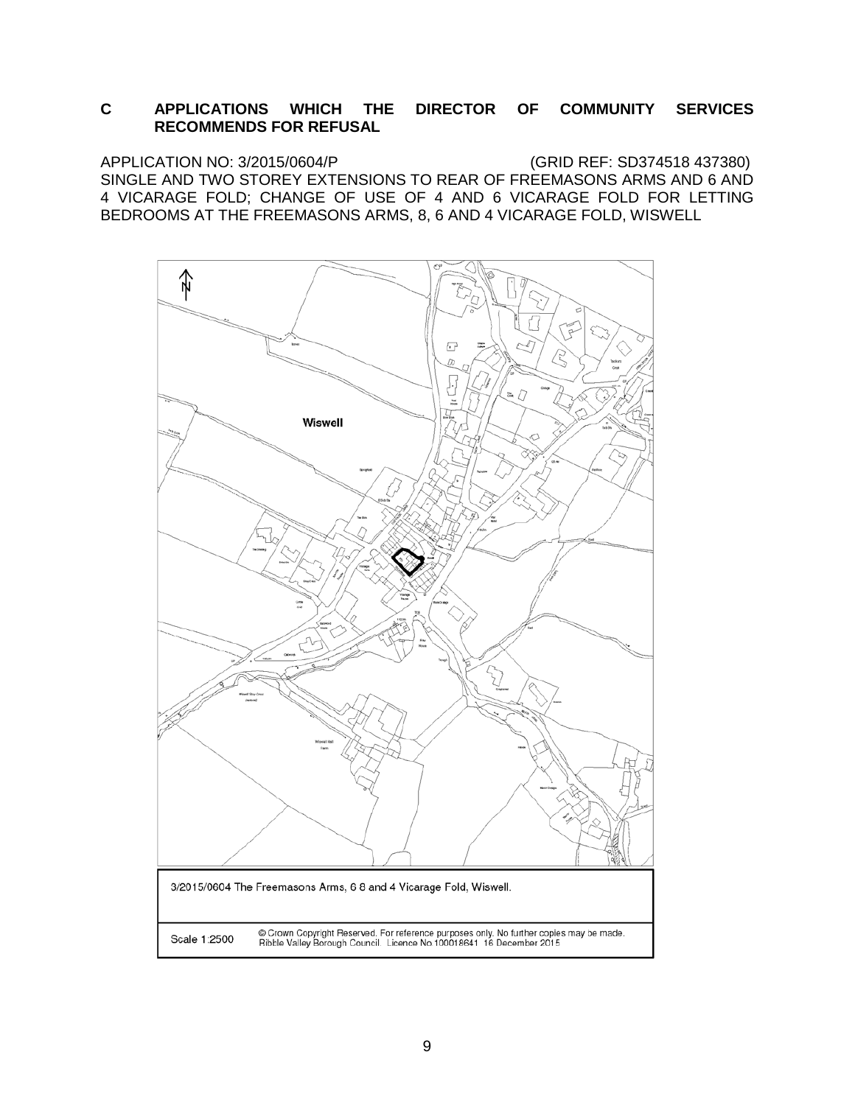### **C APPLICATIONS WHICH THE DIRECTOR OF COMMUNITY SERVICES RECOMMENDS FOR REFUSAL**

APPLICATION NO: 3/2015/0604/P (GRID REF: SD374518 437380) SINGLE AND TWO STOREY EXTENSIONS TO REAR OF FREEMASONS ARMS AND 6 AND 4 VICARAGE FOLD; CHANGE OF USE OF 4 AND 6 VICARAGE FOLD FOR LETTING BEDROOMS AT THE FREEMASONS ARMS, 8, 6 AND 4 VICARAGE FOLD, WISWELL

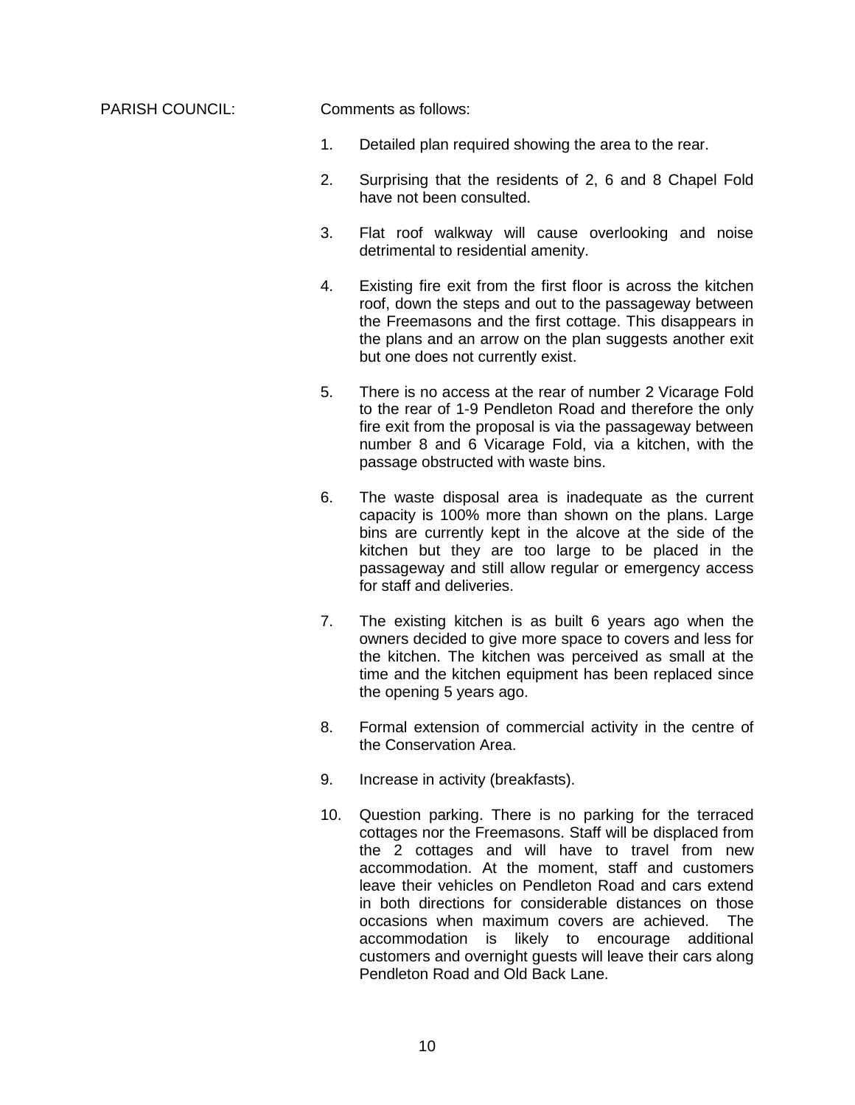PARISH COUNCIL: Comments as follows:

- 1. Detailed plan required showing the area to the rear.
- 2. Surprising that the residents of 2, 6 and 8 Chapel Fold have not been consulted.
- 3. Flat roof walkway will cause overlooking and noise detrimental to residential amenity.
- 4. Existing fire exit from the first floor is across the kitchen roof, down the steps and out to the passageway between the Freemasons and the first cottage. This disappears in the plans and an arrow on the plan suggests another exit but one does not currently exist.
- 5. There is no access at the rear of number 2 Vicarage Fold to the rear of 1-9 Pendleton Road and therefore the only fire exit from the proposal is via the passageway between number 8 and 6 Vicarage Fold, via a kitchen, with the passage obstructed with waste bins.
- 6. The waste disposal area is inadequate as the current capacity is 100% more than shown on the plans. Large bins are currently kept in the alcove at the side of the kitchen but they are too large to be placed in the passageway and still allow regular or emergency access for staff and deliveries.
- 7. The existing kitchen is as built 6 years ago when the owners decided to give more space to covers and less for the kitchen. The kitchen was perceived as small at the time and the kitchen equipment has been replaced since the opening 5 years ago.
- 8. Formal extension of commercial activity in the centre of the Conservation Area.
- 9. Increase in activity (breakfasts).
- 10. Question parking. There is no parking for the terraced cottages nor the Freemasons. Staff will be displaced from the 2 cottages and will have to travel from new accommodation. At the moment, staff and customers leave their vehicles on Pendleton Road and cars extend in both directions for considerable distances on those occasions when maximum covers are achieved. The accommodation is likely to encourage additional customers and overnight guests will leave their cars along Pendleton Road and Old Back Lane.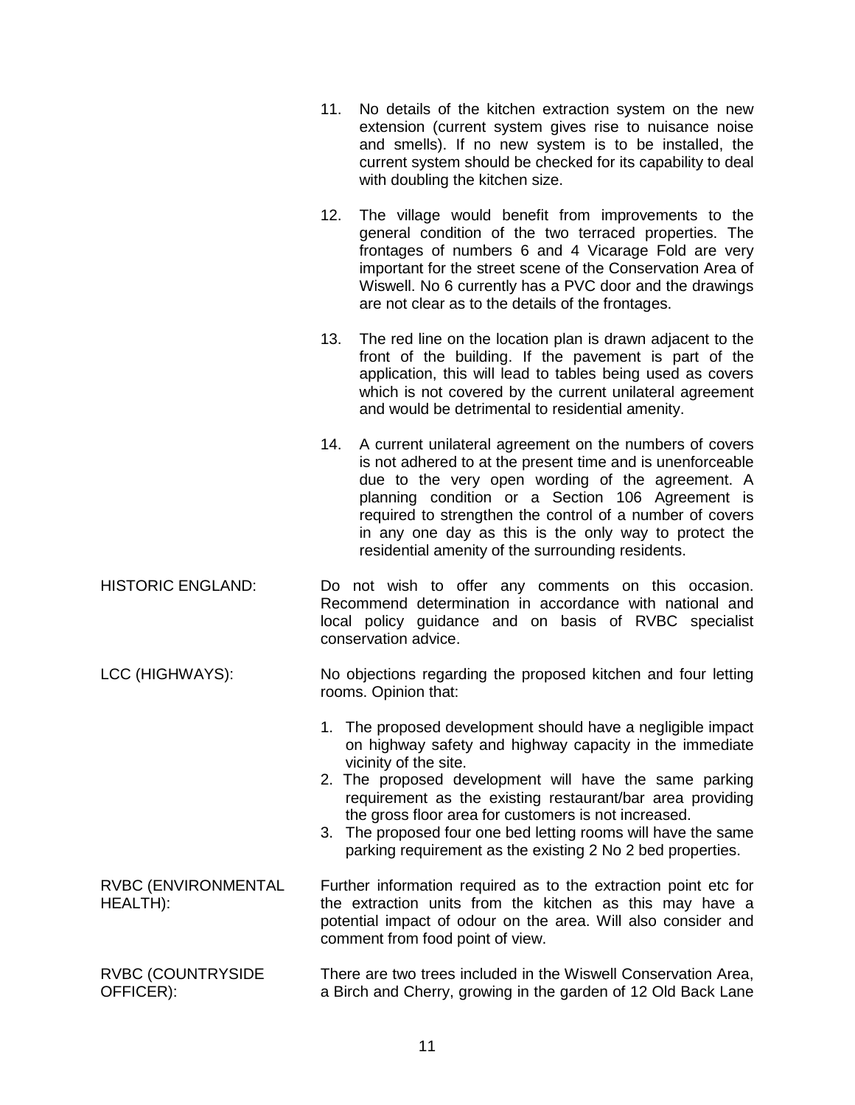|                                        | 11. | No details of the kitchen extraction system on the new<br>extension (current system gives rise to nuisance noise<br>and smells). If no new system is to be installed, the<br>current system should be checked for its capability to deal<br>with doubling the kitchen size.                                                                                                                                                                                   |
|----------------------------------------|-----|---------------------------------------------------------------------------------------------------------------------------------------------------------------------------------------------------------------------------------------------------------------------------------------------------------------------------------------------------------------------------------------------------------------------------------------------------------------|
|                                        | 12. | The village would benefit from improvements to the<br>general condition of the two terraced properties. The<br>frontages of numbers 6 and 4 Vicarage Fold are very<br>important for the street scene of the Conservation Area of<br>Wiswell. No 6 currently has a PVC door and the drawings<br>are not clear as to the details of the frontages.                                                                                                              |
|                                        | 13. | The red line on the location plan is drawn adjacent to the<br>front of the building. If the pavement is part of the<br>application, this will lead to tables being used as covers<br>which is not covered by the current unilateral agreement<br>and would be detrimental to residential amenity.                                                                                                                                                             |
|                                        | 14. | A current unilateral agreement on the numbers of covers<br>is not adhered to at the present time and is unenforceable<br>due to the very open wording of the agreement. A<br>planning condition or a Section 106 Agreement is<br>required to strengthen the control of a number of covers<br>in any one day as this is the only way to protect the<br>residential amenity of the surrounding residents.                                                       |
| <b>HISTORIC ENGLAND:</b>               |     | Do not wish to offer any comments on this occasion.<br>Recommend determination in accordance with national and<br>local policy guidance and on basis of RVBC specialist<br>conservation advice.                                                                                                                                                                                                                                                               |
| LCC (HIGHWAYS):                        |     | No objections regarding the proposed kitchen and four letting<br>rooms. Opinion that:                                                                                                                                                                                                                                                                                                                                                                         |
|                                        |     | 1. The proposed development should have a negligible impact<br>on highway safety and highway capacity in the immediate<br>vicinity of the site.<br>2. The proposed development will have the same parking<br>requirement as the existing restaurant/bar area providing<br>the gross floor area for customers is not increased.<br>3. The proposed four one bed letting rooms will have the same<br>parking requirement as the existing 2 No 2 bed properties. |
| <b>RVBC (ENVIRONMENTAL</b><br>HEALTH): |     | Further information required as to the extraction point etc for<br>the extraction units from the kitchen as this may have a<br>potential impact of odour on the area. Will also consider and<br>comment from food point of view.                                                                                                                                                                                                                              |
| RVBC (COUNTRYSIDE<br>OFFICER):         |     | There are two trees included in the Wiswell Conservation Area,<br>a Birch and Cherry, growing in the garden of 12 Old Back Lane                                                                                                                                                                                                                                                                                                                               |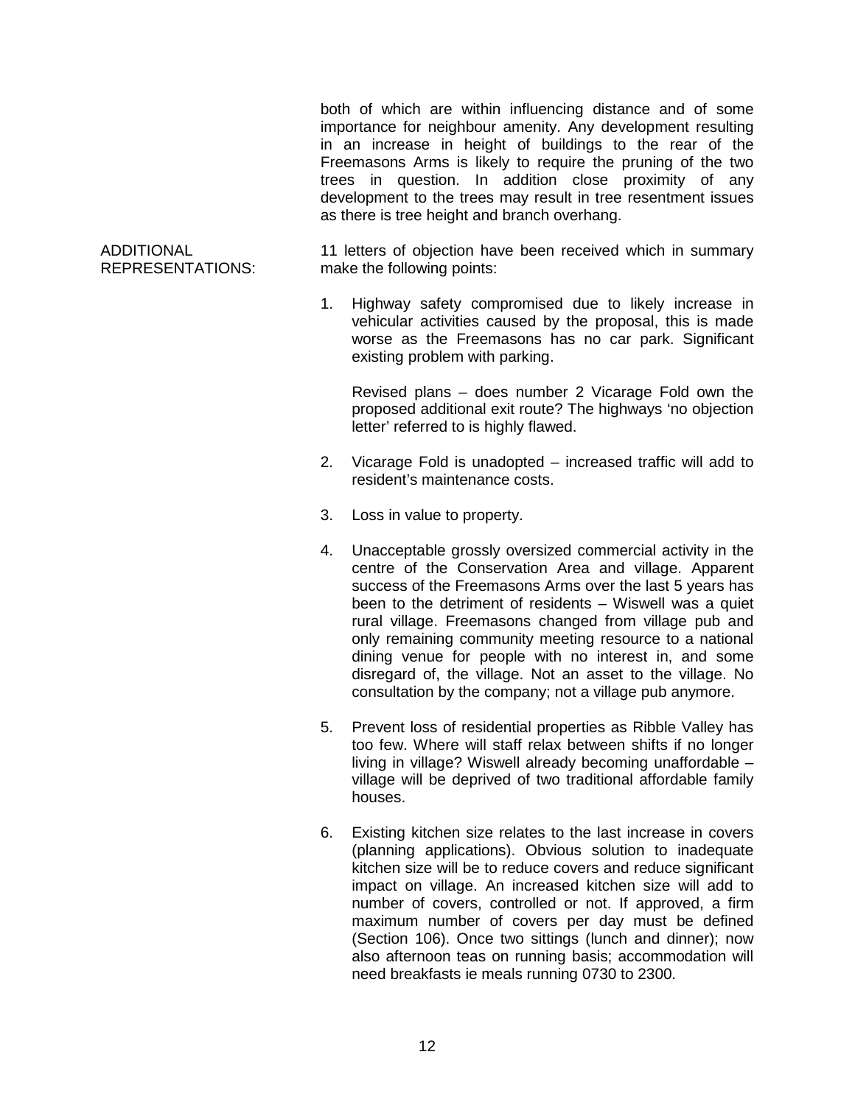both of which are within influencing distance and of some importance for neighbour amenity. Any development resulting in an increase in height of buildings to the rear of the Freemasons Arms is likely to require the pruning of the two trees in question. In addition close proximity of any development to the trees may result in tree resentment issues as there is tree height and branch overhang.

#### ADDITIONAL REPRESENTATIONS:

11 letters of objection have been received which in summary make the following points:

1. Highway safety compromised due to likely increase in vehicular activities caused by the proposal, this is made worse as the Freemasons has no car park. Significant existing problem with parking.

Revised plans – does number 2 Vicarage Fold own the proposed additional exit route? The highways 'no objection letter' referred to is highly flawed.

- 2. Vicarage Fold is unadopted increased traffic will add to resident's maintenance costs.
- 3. Loss in value to property.
- 4. Unacceptable grossly oversized commercial activity in the centre of the Conservation Area and village. Apparent success of the Freemasons Arms over the last 5 years has been to the detriment of residents – Wiswell was a quiet rural village. Freemasons changed from village pub and only remaining community meeting resource to a national dining venue for people with no interest in, and some disregard of, the village. Not an asset to the village. No consultation by the company; not a village pub anymore.
- 5. Prevent loss of residential properties as Ribble Valley has too few. Where will staff relax between shifts if no longer living in village? Wiswell already becoming unaffordable – village will be deprived of two traditional affordable family houses.
- 6. Existing kitchen size relates to the last increase in covers (planning applications). Obvious solution to inadequate kitchen size will be to reduce covers and reduce significant impact on village. An increased kitchen size will add to number of covers, controlled or not. If approved, a firm maximum number of covers per day must be defined (Section 106). Once two sittings (lunch and dinner); now also afternoon teas on running basis; accommodation will need breakfasts ie meals running 0730 to 2300.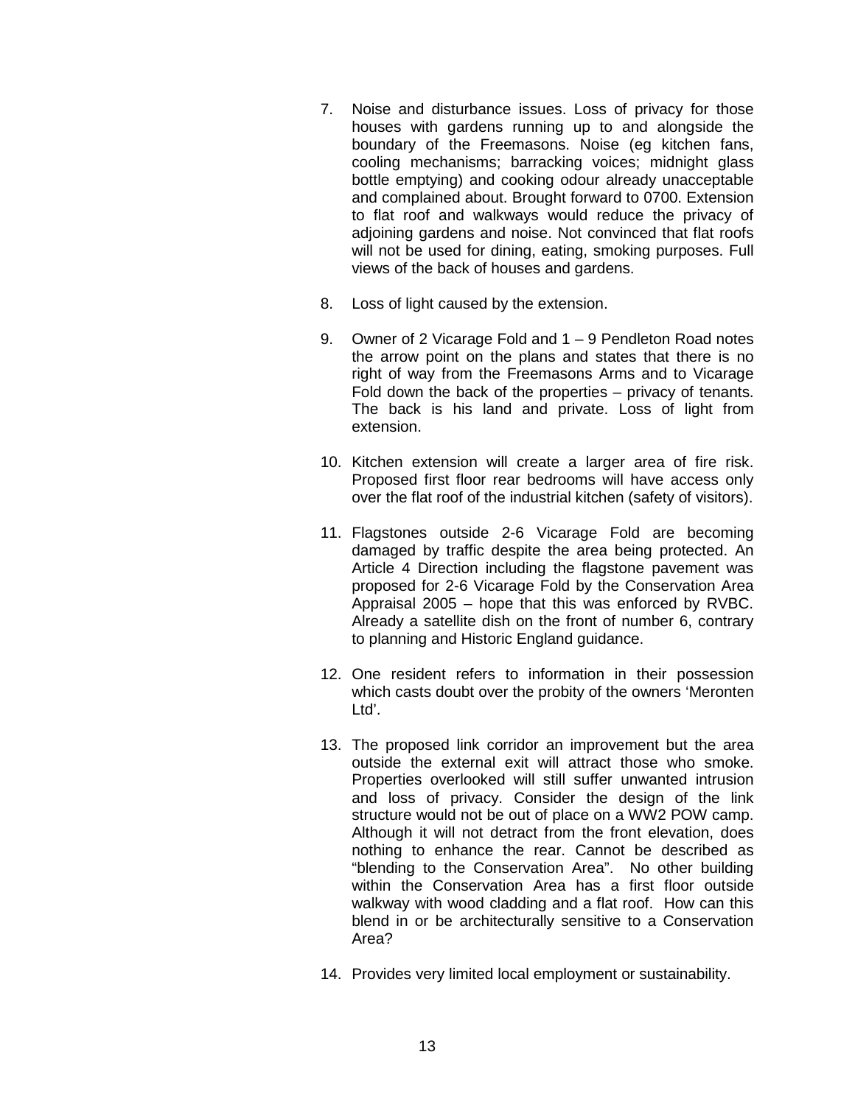- 7. Noise and disturbance issues. Loss of privacy for those houses with gardens running up to and alongside the boundary of the Freemasons. Noise (eg kitchen fans, cooling mechanisms; barracking voices; midnight glass bottle emptying) and cooking odour already unacceptable and complained about. Brought forward to 0700. Extension to flat roof and walkways would reduce the privacy of adjoining gardens and noise. Not convinced that flat roofs will not be used for dining, eating, smoking purposes. Full views of the back of houses and gardens.
- 8. Loss of light caused by the extension.
- 9. Owner of 2 Vicarage Fold and 1 9 Pendleton Road notes the arrow point on the plans and states that there is no right of way from the Freemasons Arms and to Vicarage Fold down the back of the properties – privacy of tenants. The back is his land and private. Loss of light from extension.
- 10. Kitchen extension will create a larger area of fire risk. Proposed first floor rear bedrooms will have access only over the flat roof of the industrial kitchen (safety of visitors).
- 11. Flagstones outside 2-6 Vicarage Fold are becoming damaged by traffic despite the area being protected. An Article 4 Direction including the flagstone pavement was proposed for 2-6 Vicarage Fold by the Conservation Area Appraisal 2005 – hope that this was enforced by RVBC. Already a satellite dish on the front of number 6, contrary to planning and Historic England guidance.
- 12. One resident refers to information in their possession which casts doubt over the probity of the owners 'Meronten Ltd'.
- 13. The proposed link corridor an improvement but the area outside the external exit will attract those who smoke. Properties overlooked will still suffer unwanted intrusion and loss of privacy. Consider the design of the link structure would not be out of place on a WW2 POW camp. Although it will not detract from the front elevation, does nothing to enhance the rear. Cannot be described as "blending to the Conservation Area". No other building within the Conservation Area has a first floor outside walkway with wood cladding and a flat roof. How can this blend in or be architecturally sensitive to a Conservation Area?
- 14. Provides very limited local employment or sustainability.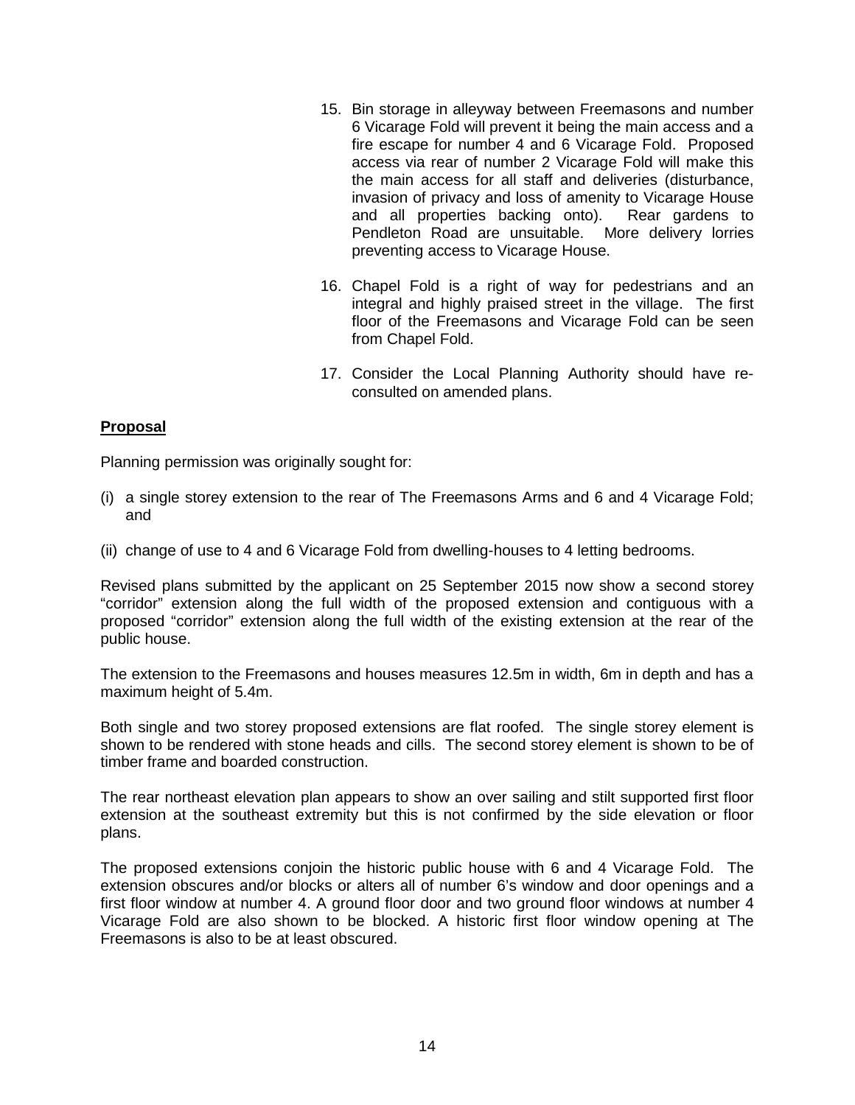- 15. Bin storage in alleyway between Freemasons and number 6 Vicarage Fold will prevent it being the main access and a fire escape for number 4 and 6 Vicarage Fold. Proposed access via rear of number 2 Vicarage Fold will make this the main access for all staff and deliveries (disturbance, invasion of privacy and loss of amenity to Vicarage House and all properties backing onto). Rear gardens to Pendleton Road are unsuitable. More delivery lorries preventing access to Vicarage House.
- 16. Chapel Fold is a right of way for pedestrians and an integral and highly praised street in the village. The first floor of the Freemasons and Vicarage Fold can be seen from Chapel Fold.
- 17. Consider the Local Planning Authority should have reconsulted on amended plans.

### **Proposal**

Planning permission was originally sought for:

- (i) a single storey extension to the rear of The Freemasons Arms and 6 and 4 Vicarage Fold; and
- (ii) change of use to 4 and 6 Vicarage Fold from dwelling-houses to 4 letting bedrooms.

Revised plans submitted by the applicant on 25 September 2015 now show a second storey "corridor" extension along the full width of the proposed extension and contiguous with a proposed "corridor" extension along the full width of the existing extension at the rear of the public house.

The extension to the Freemasons and houses measures 12.5m in width, 6m in depth and has a maximum height of 5.4m.

Both single and two storey proposed extensions are flat roofed. The single storey element is shown to be rendered with stone heads and cills. The second storey element is shown to be of timber frame and boarded construction.

The rear northeast elevation plan appears to show an over sailing and stilt supported first floor extension at the southeast extremity but this is not confirmed by the side elevation or floor plans.

The proposed extensions conjoin the historic public house with 6 and 4 Vicarage Fold. The extension obscures and/or blocks or alters all of number 6's window and door openings and a first floor window at number 4. A ground floor door and two ground floor windows at number 4 Vicarage Fold are also shown to be blocked. A historic first floor window opening at The Freemasons is also to be at least obscured.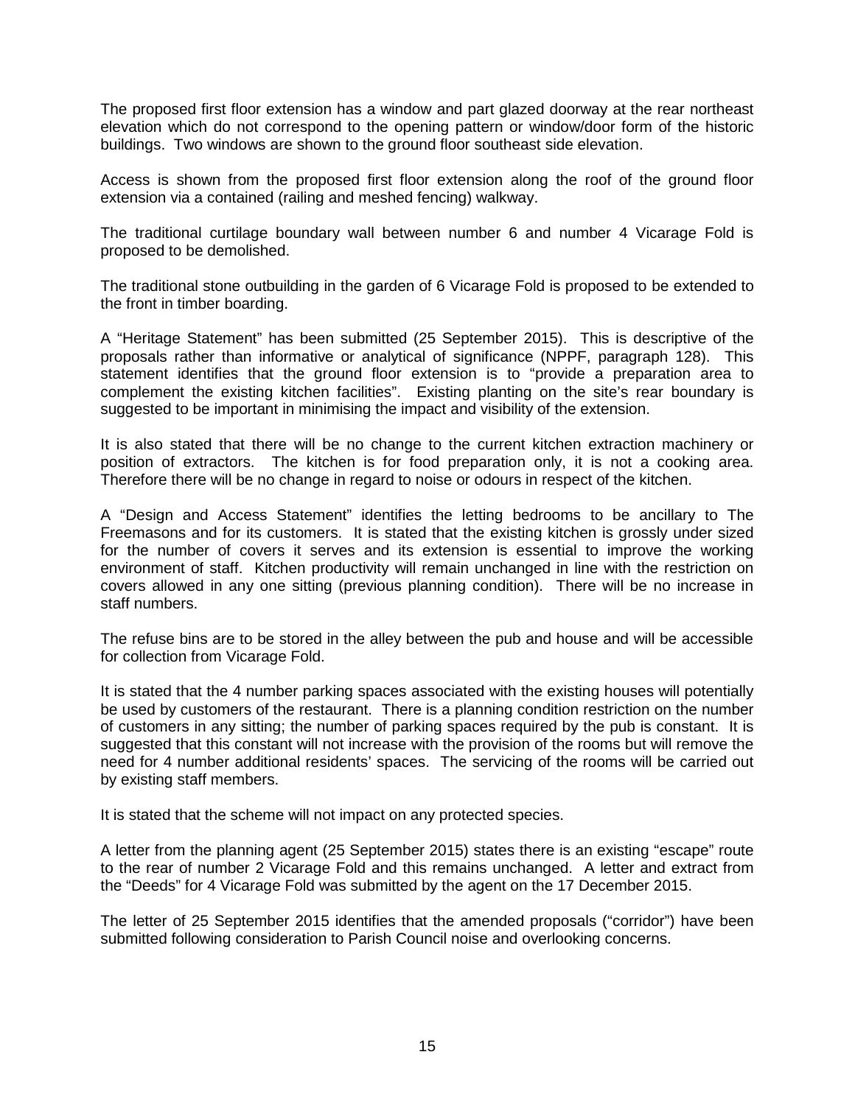The proposed first floor extension has a window and part glazed doorway at the rear northeast elevation which do not correspond to the opening pattern or window/door form of the historic buildings. Two windows are shown to the ground floor southeast side elevation.

Access is shown from the proposed first floor extension along the roof of the ground floor extension via a contained (railing and meshed fencing) walkway.

The traditional curtilage boundary wall between number 6 and number 4 Vicarage Fold is proposed to be demolished.

The traditional stone outbuilding in the garden of 6 Vicarage Fold is proposed to be extended to the front in timber boarding.

A "Heritage Statement" has been submitted (25 September 2015). This is descriptive of the proposals rather than informative or analytical of significance (NPPF, paragraph 128). This statement identifies that the ground floor extension is to "provide a preparation area to complement the existing kitchen facilities". Existing planting on the site's rear boundary is suggested to be important in minimising the impact and visibility of the extension.

It is also stated that there will be no change to the current kitchen extraction machinery or position of extractors. The kitchen is for food preparation only, it is not a cooking area. Therefore there will be no change in regard to noise or odours in respect of the kitchen.

A "Design and Access Statement" identifies the letting bedrooms to be ancillary to The Freemasons and for its customers. It is stated that the existing kitchen is grossly under sized for the number of covers it serves and its extension is essential to improve the working environment of staff. Kitchen productivity will remain unchanged in line with the restriction on covers allowed in any one sitting (previous planning condition). There will be no increase in staff numbers.

The refuse bins are to be stored in the alley between the pub and house and will be accessible for collection from Vicarage Fold.

It is stated that the 4 number parking spaces associated with the existing houses will potentially be used by customers of the restaurant. There is a planning condition restriction on the number of customers in any sitting; the number of parking spaces required by the pub is constant. It is suggested that this constant will not increase with the provision of the rooms but will remove the need for 4 number additional residents' spaces. The servicing of the rooms will be carried out by existing staff members.

It is stated that the scheme will not impact on any protected species.

A letter from the planning agent (25 September 2015) states there is an existing "escape" route to the rear of number 2 Vicarage Fold and this remains unchanged. A letter and extract from the "Deeds" for 4 Vicarage Fold was submitted by the agent on the 17 December 2015.

The letter of 25 September 2015 identifies that the amended proposals ("corridor") have been submitted following consideration to Parish Council noise and overlooking concerns.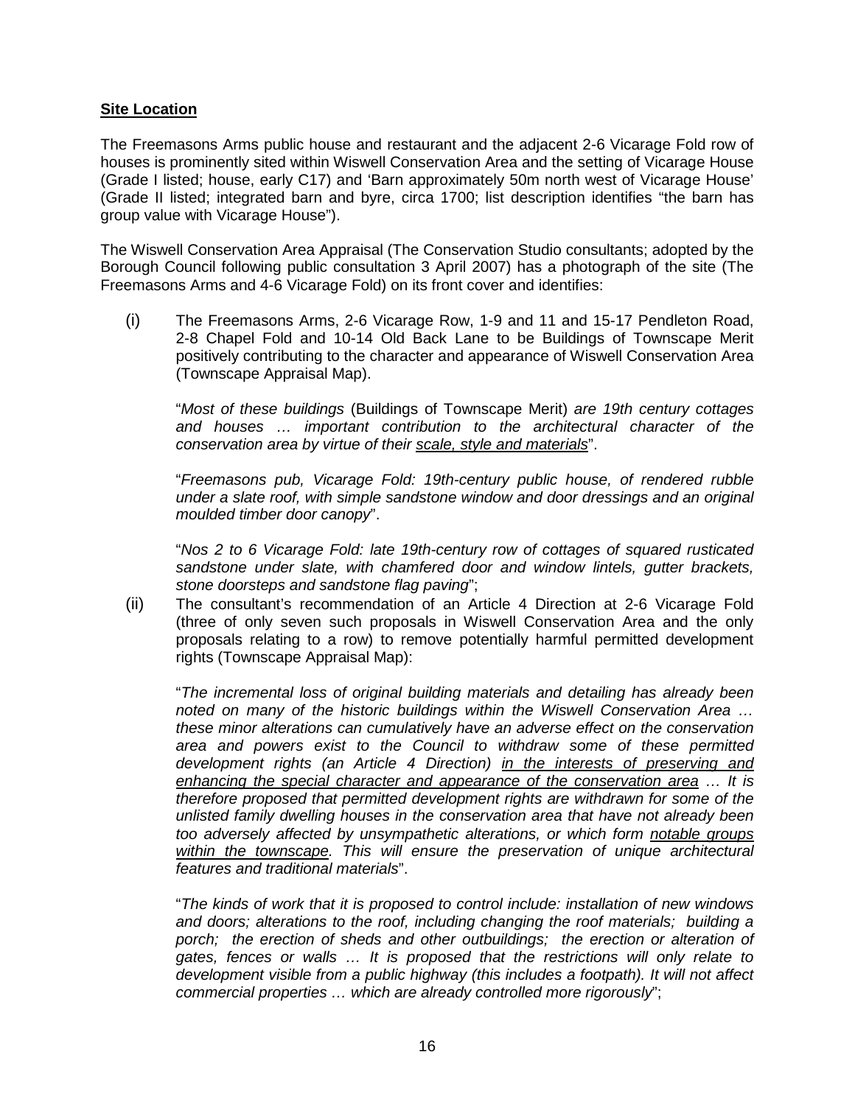### **Site Location**

The Freemasons Arms public house and restaurant and the adjacent 2-6 Vicarage Fold row of houses is prominently sited within Wiswell Conservation Area and the setting of Vicarage House (Grade I listed; house, early C17) and 'Barn approximately 50m north west of Vicarage House' (Grade II listed; integrated barn and byre, circa 1700; list description identifies "the barn has group value with Vicarage House").

The Wiswell Conservation Area Appraisal (The Conservation Studio consultants; adopted by the Borough Council following public consultation 3 April 2007) has a photograph of the site (The Freemasons Arms and 4-6 Vicarage Fold) on its front cover and identifies:

(i) The Freemasons Arms, 2-6 Vicarage Row, 1-9 and 11 and 15-17 Pendleton Road, 2-8 Chapel Fold and 10-14 Old Back Lane to be Buildings of Townscape Merit positively contributing to the character and appearance of Wiswell Conservation Area (Townscape Appraisal Map).

"*Most of these buildings* (Buildings of Townscape Merit) *are 19th century cottages and houses … important contribution to the architectural character of the conservation area by virtue of their scale, style and materials*".

"*Freemasons pub, Vicarage Fold: 19th-century public house, of rendered rubble under a slate roof, with simple sandstone window and door dressings and an original moulded timber door canopy*".

"*Nos 2 to 6 Vicarage Fold: late 19th-century row of cottages of squared rusticated sandstone under slate, with chamfered door and window lintels, gutter brackets, stone doorsteps and sandstone flag paving*";

(ii) The consultant's recommendation of an Article 4 Direction at 2-6 Vicarage Fold (three of only seven such proposals in Wiswell Conservation Area and the only proposals relating to a row) to remove potentially harmful permitted development rights (Townscape Appraisal Map):

"*The incremental loss of original building materials and detailing has already been noted on many of the historic buildings within the Wiswell Conservation Area … these minor alterations can cumulatively have an adverse effect on the conservation area and powers exist to the Council to withdraw some of these permitted development rights (an Article 4 Direction) in the interests of preserving and enhancing the special character and appearance of the conservation area … It is therefore proposed that permitted development rights are withdrawn for some of the unlisted family dwelling houses in the conservation area that have not already been too adversely affected by unsympathetic alterations, or which form notable groups within the townscape. This will ensure the preservation of unique architectural features and traditional materials*".

"*The kinds of work that it is proposed to control include: installation of new windows and doors; alterations to the roof, including changing the roof materials; building a*  porch; the erection of sheds and other outbuildings; the erection or alteration of *gates, fences or walls … It is proposed that the restrictions will only relate to development visible from a public highway (this includes a footpath). It will not affect commercial properties … which are already controlled more rigorously*";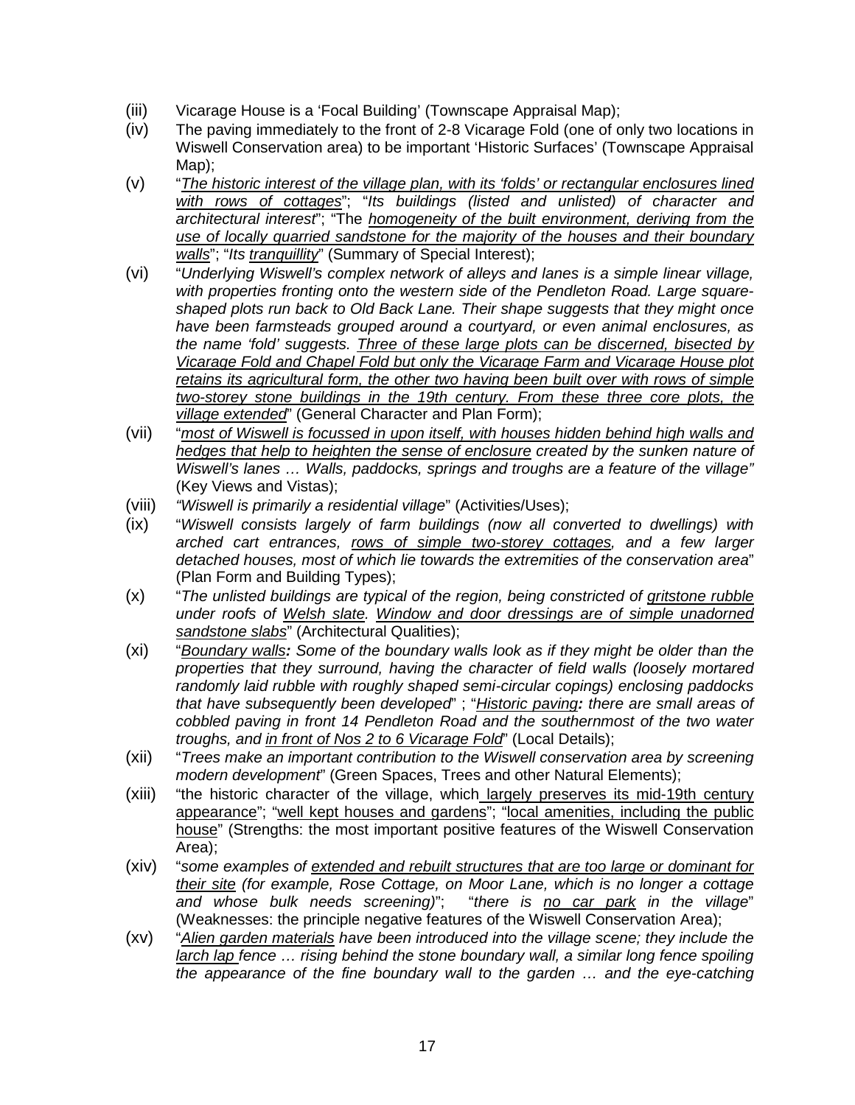- (iii) Vicarage House is a 'Focal Building' (Townscape Appraisal Map);
- (iv) The paving immediately to the front of 2-8 Vicarage Fold (one of only two locations in Wiswell Conservation area) to be important 'Historic Surfaces' (Townscape Appraisal Map);
- (v) "*The historic interest of the village plan, with its 'folds' or rectangular enclosures lined with rows of cottages*"; "*Its buildings (listed and unlisted) of character and architectural interest*"; "The *homogeneity of the built environment, deriving from the use of locally quarried sandstone for the majority of the houses and their boundary walls*"; "*Its tranquillity*" (Summary of Special Interest);
- (vi) "*Underlying Wiswell's complex network of alleys and lanes is a simple linear village, with properties fronting onto the western side of the Pendleton Road. Large squareshaped plots run back to Old Back Lane. Their shape suggests that they might once have been farmsteads grouped around a courtyard, or even animal enclosures, as the name 'fold' suggests. Three of these large plots can be discerned, bisected by Vicarage Fold and Chapel Fold but only the Vicarage Farm and Vicarage House plot retains its agricultural form, the other two having been built over with rows of simple two-storey stone buildings in the 19th century. From these three core plots, the village extended*" (General Character and Plan Form);
- (vii) "*most of Wiswell is focussed in upon itself, with houses hidden behind high walls and hedges that help to heighten the sense of enclosure created by the sunken nature of Wiswell's lanes … Walls, paddocks, springs and troughs are a feature of the village"*  (Key Views and Vistas);
- (viii) *"Wiswell is primarily a residential village*" (Activities/Uses);
- (ix) "*Wiswell consists largely of farm buildings (now all converted to dwellings) with arched cart entrances, rows of simple two-storey cottages, and a few larger detached houses, most of which lie towards the extremities of the conservation area*" (Plan Form and Building Types);
- (x) "*The unlisted buildings are typical of the region, being constricted of gritstone rubble under roofs of Welsh slate. Window and door dressings are of simple unadorned sandstone slabs*" (Architectural Qualities);
- (xi) "*Boundary walls: Some of the boundary walls look as if they might be older than the properties that they surround, having the character of field walls (loosely mortared randomly laid rubble with roughly shaped semi-circular copings) enclosing paddocks that have subsequently been developed*" ; "*Historic paving: there are small areas of cobbled paving in front 14 Pendleton Road and the southernmost of the two water troughs, and in front of Nos 2 to 6 Vicarage Fold*" (Local Details);
- (xii) "*Trees make an important contribution to the Wiswell conservation area by screening modern development*" (Green Spaces, Trees and other Natural Elements);
- (xiii) "the historic character of the village, which largely preserves its mid-19th century appearance"; "well kept houses and gardens"; "local amenities, including the public house" (Strengths: the most important positive features of the Wiswell Conservation Area);
- (xiv) "*some examples of extended and rebuilt structures that are too large or dominant for their site (for example, Rose Cottage, on Moor Lane, which is no longer a cottage and whose bulk needs screening)*"; "*there is no car park in the village*" (Weaknesses: the principle negative features of the Wiswell Conservation Area);
- (xv) "*Alien garden materials have been introduced into the village scene; they include the larch lap fence … rising behind the stone boundary wall, a similar long fence spoiling the appearance of the fine boundary wall to the garden … and the eye-catching*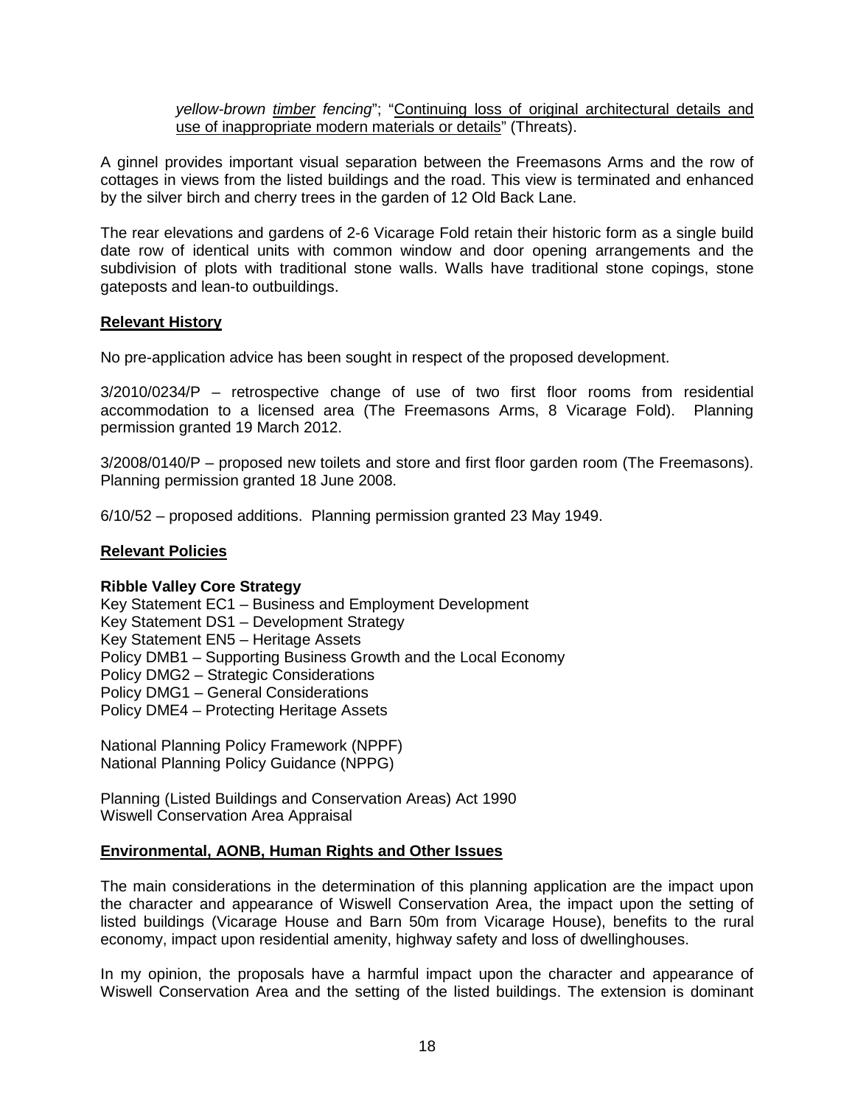*yellow-brown timber fencing*"; "Continuing loss of original architectural details and use of inappropriate modern materials or details" (Threats).

A ginnel provides important visual separation between the Freemasons Arms and the row of cottages in views from the listed buildings and the road. This view is terminated and enhanced by the silver birch and cherry trees in the garden of 12 Old Back Lane.

The rear elevations and gardens of 2-6 Vicarage Fold retain their historic form as a single build date row of identical units with common window and door opening arrangements and the subdivision of plots with traditional stone walls. Walls have traditional stone copings, stone gateposts and lean-to outbuildings.

### **Relevant History**

No pre-application advice has been sought in respect of the proposed development.

3/2010/0234/P – retrospective change of use of two first floor rooms from residential accommodation to a licensed area (The Freemasons Arms, 8 Vicarage Fold). Planning permission granted 19 March 2012.

3/2008/0140/P – proposed new toilets and store and first floor garden room (The Freemasons). Planning permission granted 18 June 2008.

6/10/52 – proposed additions. Planning permission granted 23 May 1949.

### **Relevant Policies**

### **Ribble Valley Core Strategy**

Key Statement EC1 – Business and Employment Development Key Statement DS1 – Development Strategy Key Statement EN5 – Heritage Assets Policy DMB1 – Supporting Business Growth and the Local Economy Policy DMG2 – Strategic Considerations Policy DMG1 – General Considerations Policy DME4 – Protecting Heritage Assets

National Planning Policy Framework (NPPF) National Planning Policy Guidance (NPPG)

Planning (Listed Buildings and Conservation Areas) Act 1990 Wiswell Conservation Area Appraisal

### **Environmental, AONB, Human Rights and Other Issues**

The main considerations in the determination of this planning application are the impact upon the character and appearance of Wiswell Conservation Area, the impact upon the setting of listed buildings (Vicarage House and Barn 50m from Vicarage House), benefits to the rural economy, impact upon residential amenity, highway safety and loss of dwellinghouses.

In my opinion, the proposals have a harmful impact upon the character and appearance of Wiswell Conservation Area and the setting of the listed buildings. The extension is dominant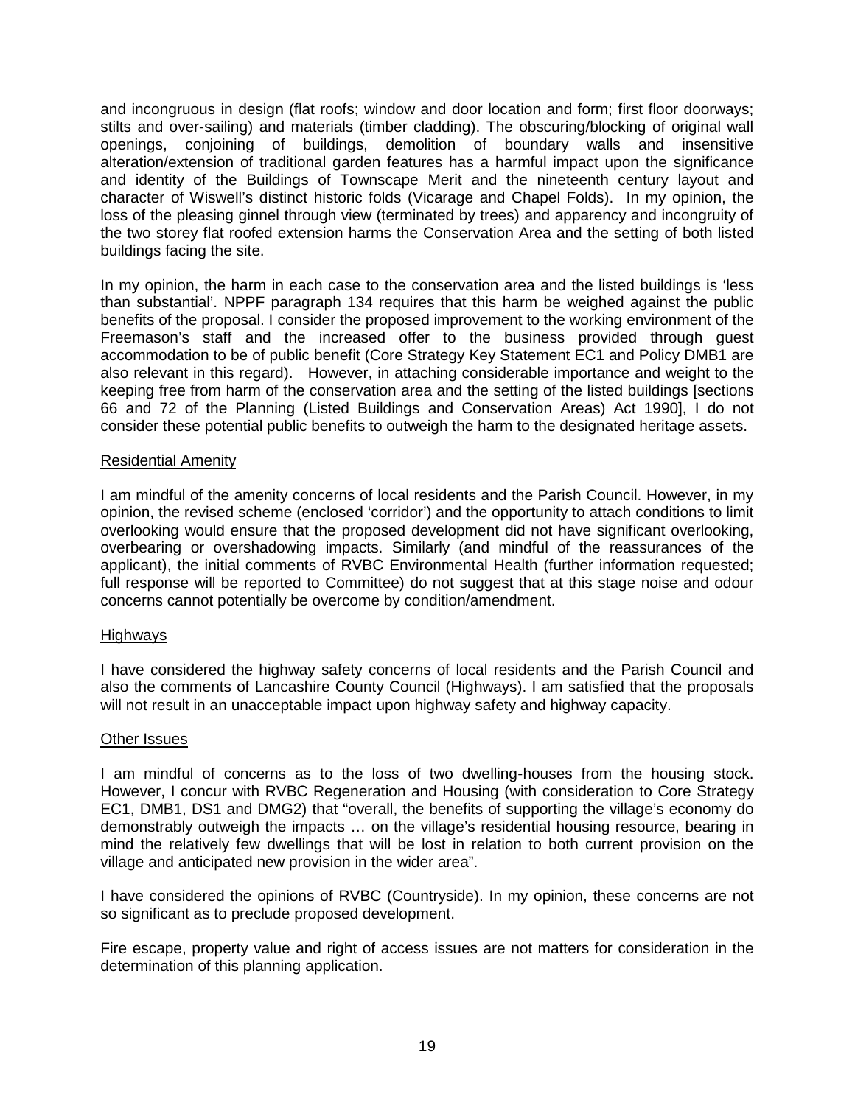and incongruous in design (flat roofs; window and door location and form; first floor doorways; stilts and over-sailing) and materials (timber cladding). The obscuring/blocking of original wall openings, conjoining of buildings, demolition of boundary walls and insensitive alteration/extension of traditional garden features has a harmful impact upon the significance and identity of the Buildings of Townscape Merit and the nineteenth century layout and character of Wiswell's distinct historic folds (Vicarage and Chapel Folds). In my opinion, the loss of the pleasing ginnel through view (terminated by trees) and apparency and incongruity of the two storey flat roofed extension harms the Conservation Area and the setting of both listed buildings facing the site.

In my opinion, the harm in each case to the conservation area and the listed buildings is 'less than substantial'. NPPF paragraph 134 requires that this harm be weighed against the public benefits of the proposal. I consider the proposed improvement to the working environment of the Freemason's staff and the increased offer to the business provided through guest accommodation to be of public benefit (Core Strategy Key Statement EC1 and Policy DMB1 are also relevant in this regard). However, in attaching considerable importance and weight to the keeping free from harm of the conservation area and the setting of the listed buildings [sections 66 and 72 of the Planning (Listed Buildings and Conservation Areas) Act 1990], I do not consider these potential public benefits to outweigh the harm to the designated heritage assets.

### Residential Amenity

I am mindful of the amenity concerns of local residents and the Parish Council. However, in my opinion, the revised scheme (enclosed 'corridor') and the opportunity to attach conditions to limit overlooking would ensure that the proposed development did not have significant overlooking, overbearing or overshadowing impacts. Similarly (and mindful of the reassurances of the applicant), the initial comments of RVBC Environmental Health (further information requested; full response will be reported to Committee) do not suggest that at this stage noise and odour concerns cannot potentially be overcome by condition/amendment.

### Highways

I have considered the highway safety concerns of local residents and the Parish Council and also the comments of Lancashire County Council (Highways). I am satisfied that the proposals will not result in an unacceptable impact upon highway safety and highway capacity.

### Other Issues

I am mindful of concerns as to the loss of two dwelling-houses from the housing stock. However, I concur with RVBC Regeneration and Housing (with consideration to Core Strategy EC1, DMB1, DS1 and DMG2) that "overall, the benefits of supporting the village's economy do demonstrably outweigh the impacts … on the village's residential housing resource, bearing in mind the relatively few dwellings that will be lost in relation to both current provision on the village and anticipated new provision in the wider area".

I have considered the opinions of RVBC (Countryside). In my opinion, these concerns are not so significant as to preclude proposed development.

Fire escape, property value and right of access issues are not matters for consideration in the determination of this planning application.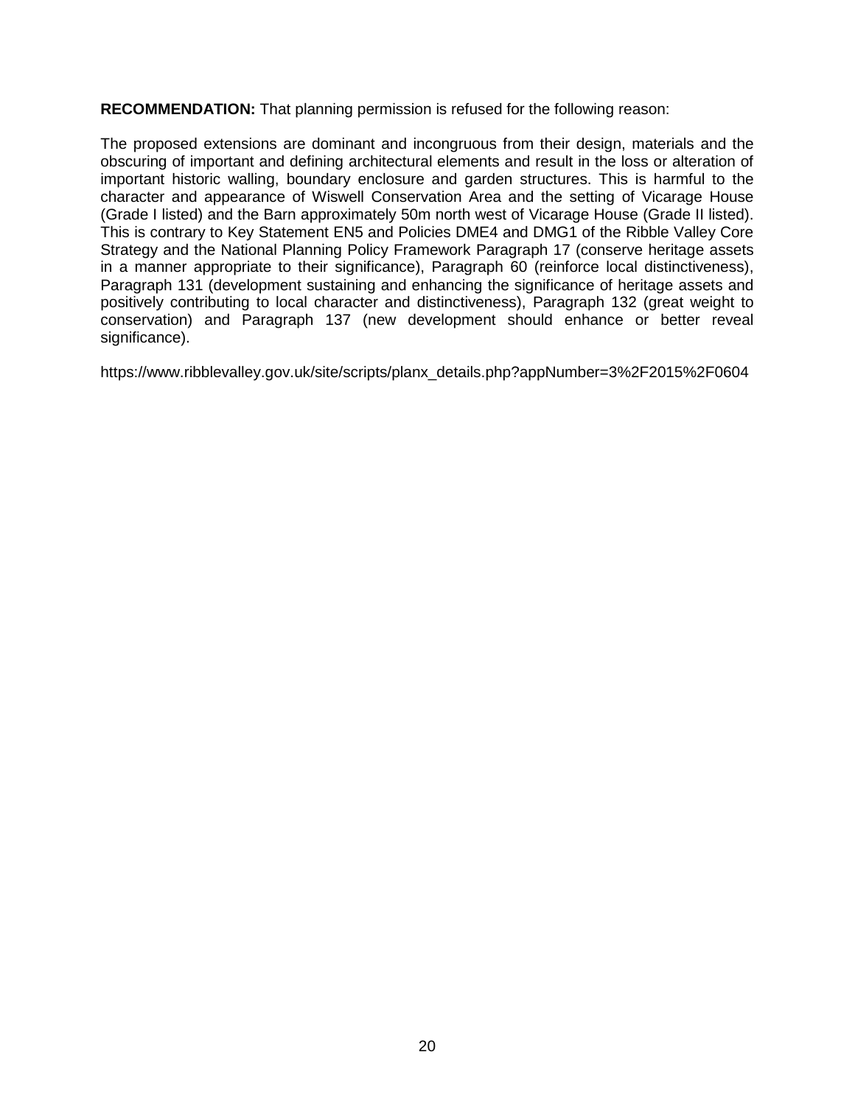**RECOMMENDATION:** That planning permission is refused for the following reason:

The proposed extensions are dominant and incongruous from their design, materials and the obscuring of important and defining architectural elements and result in the loss or alteration of important historic walling, boundary enclosure and garden structures. This is harmful to the character and appearance of Wiswell Conservation Area and the setting of Vicarage House (Grade I listed) and the Barn approximately 50m north west of Vicarage House (Grade II listed). This is contrary to Key Statement EN5 and Policies DME4 and DMG1 of the Ribble Valley Core Strategy and the National Planning Policy Framework Paragraph 17 (conserve heritage assets in a manner appropriate to their significance), Paragraph 60 (reinforce local distinctiveness), Paragraph 131 (development sustaining and enhancing the significance of heritage assets and positively contributing to local character and distinctiveness), Paragraph 132 (great weight to conservation) and Paragraph 137 (new development should enhance or better reveal significance).

[https://www.ribblevalley.gov.uk/site/scripts/planx\\_details.php?appNumber=3%2F2015%2F0604](https://www.ribblevalley.gov.uk/site/scripts/planx_details.php?appNumber=3%2F2015%2F0604)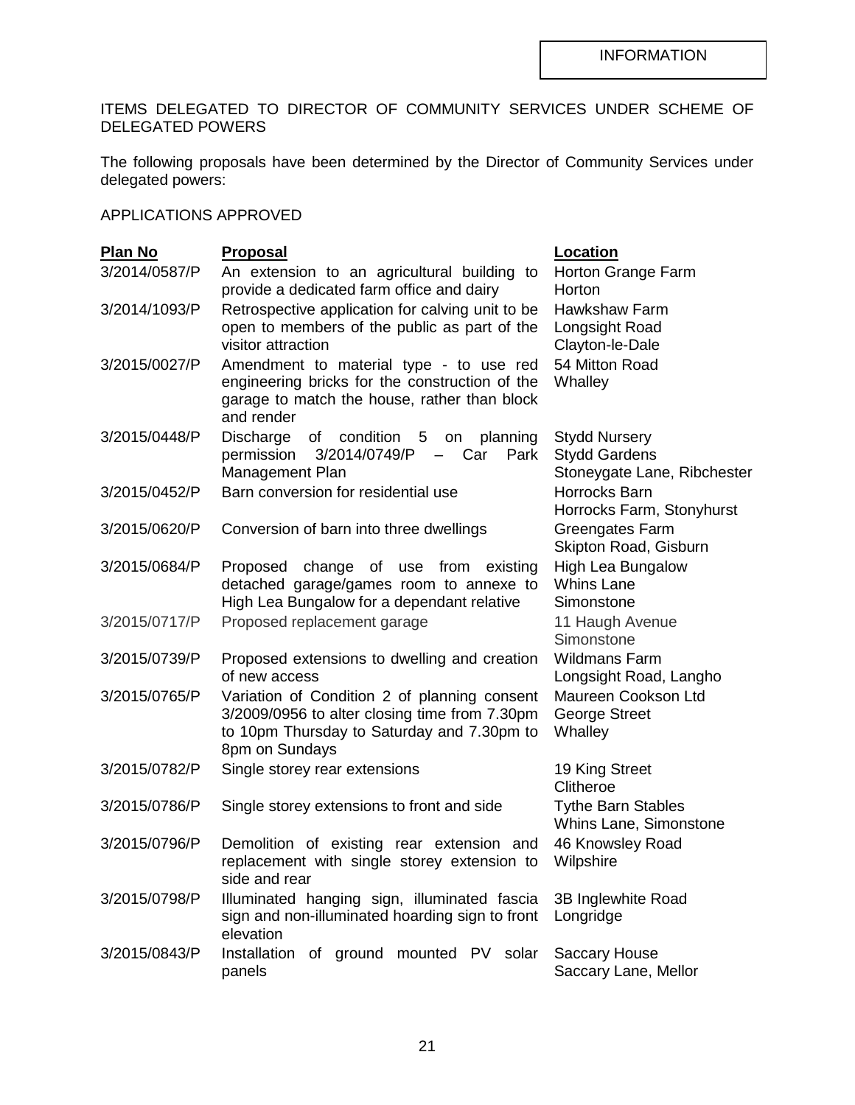ITEMS DELEGATED TO DIRECTOR OF COMMUNITY SERVICES UNDER SCHEME OF DELEGATED POWERS

The following proposals have been determined by the Director of Community Services under delegated powers:

### APPLICATIONS APPROVED

| <b>Plan No</b> | <b>Proposal</b>                                                                                                                                               | Location                                                                    |
|----------------|---------------------------------------------------------------------------------------------------------------------------------------------------------------|-----------------------------------------------------------------------------|
| 3/2014/0587/P  | An extension to an agricultural building to<br>provide a dedicated farm office and dairy                                                                      | Horton Grange Farm<br>Horton                                                |
| 3/2014/1093/P  | Retrospective application for calving unit to be<br>open to members of the public as part of the<br>visitor attraction                                        | <b>Hawkshaw Farm</b><br>Longsight Road<br>Clayton-le-Dale                   |
| 3/2015/0027/P  | Amendment to material type - to use red<br>engineering bricks for the construction of the<br>garage to match the house, rather than block<br>and render       | 54 Mitton Road<br>Whalley                                                   |
| 3/2015/0448/P  | Discharge<br>of condition 5 on planning<br>3/2014/0749/P<br>- Car<br>Park<br>permission<br>Management Plan                                                    | <b>Stydd Nursery</b><br><b>Stydd Gardens</b><br>Stoneygate Lane, Ribchester |
| 3/2015/0452/P  | Barn conversion for residential use                                                                                                                           | Horrocks Barn<br>Horrocks Farm, Stonyhurst                                  |
| 3/2015/0620/P  | Conversion of barn into three dwellings                                                                                                                       | Greengates Farm<br>Skipton Road, Gisburn                                    |
| 3/2015/0684/P  | Proposed change of use from existing<br>detached garage/games room to annexe to<br>High Lea Bungalow for a dependant relative                                 | High Lea Bungalow<br><b>Whins Lane</b><br>Simonstone                        |
| 3/2015/0717/P  | Proposed replacement garage                                                                                                                                   | 11 Haugh Avenue<br>Simonstone                                               |
| 3/2015/0739/P  | Proposed extensions to dwelling and creation<br>of new access                                                                                                 | <b>Wildmans Farm</b><br>Longsight Road, Langho                              |
| 3/2015/0765/P  | Variation of Condition 2 of planning consent<br>3/2009/0956 to alter closing time from 7.30pm<br>to 10pm Thursday to Saturday and 7.30pm to<br>8pm on Sundays | Maureen Cookson Ltd<br>George Street<br>Whalley                             |
| 3/2015/0782/P  | Single storey rear extensions                                                                                                                                 | 19 King Street<br>Clitheroe                                                 |
| 3/2015/0786/P  | Single storey extensions to front and side                                                                                                                    | <b>Tythe Barn Stables</b><br>Whins Lane, Simonstone                         |
| 3/2015/0796/P  | Demolition of existing rear extension and<br>replacement with single storey extension to<br>side and rear                                                     | 46 Knowsley Road<br>Wilpshire                                               |
| 3/2015/0798/P  | Illuminated hanging sign, illuminated fascia<br>sign and non-illuminated hoarding sign to front<br>elevation                                                  | 3B Inglewhite Road<br>Longridge                                             |
| 3/2015/0843/P  | Installation of ground mounted PV solar<br>panels                                                                                                             | <b>Saccary House</b><br>Saccary Lane, Mellor                                |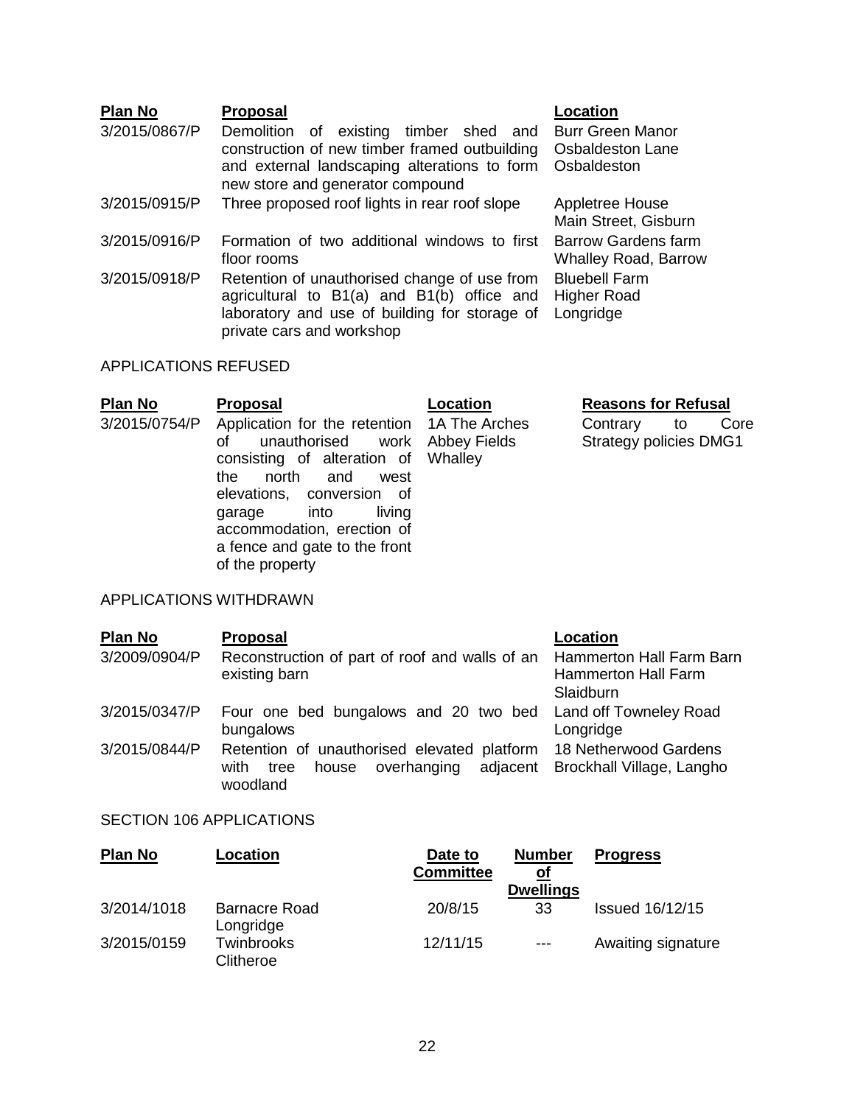## **Plan No Proposal Location**

- 3/2015/0867/P Demolition of existing timber shed and construction of new timber framed outbuilding and external landscaping alterations to form new store and generator compound
- 3/2015/0915/P Three proposed roof lights in rear roof slope Appletree House
- 3/2015/0916/P Formation of two additional windows to first floor rooms
- 3/2015/0918/P Retention of unauthorised change of use from agricultural to B1(a) and B1(b) office and laboratory and use of building for storage of Longridge private cars and workshop Bluebell Farm Higher Road

### APPLICATIONS REFUSED

| P <u>lan No</u> | <b>Proposal</b>                                                                                                                                                                                                                                                                                   | Location | <b>Reasons for Refusal</b>                              |  |  |  |
|-----------------|---------------------------------------------------------------------------------------------------------------------------------------------------------------------------------------------------------------------------------------------------------------------------------------------------|----------|---------------------------------------------------------|--|--|--|
| 3/2015/0754/P   | Application for the retention 1A The Arches<br>unauthorised work Abbey Fields<br>οf<br>consisting of alteration of Whalley<br>north and<br>the<br>west<br>elevations, conversion of<br>into<br>living<br>garage<br>accommodation, erection of<br>a fence and gate to the front<br>of the property |          | Contrary<br>Core<br>to<br><b>Strategy policies DMG1</b> |  |  |  |
|                 |                                                                                                                                                                                                                                                                                                   |          |                                                         |  |  |  |

Burr Green Manor Osbaldeston Lane **Osbaldeston** 

Main Street, Gisburn

Barrow Gardens farm Whalley Road, Barrow

### APPLICATIONS WITHDRAWN

| <b>Plan No</b> | <b>Proposal</b>                                                                                                                   | Location                                                                   |
|----------------|-----------------------------------------------------------------------------------------------------------------------------------|----------------------------------------------------------------------------|
| 3/2009/0904/P  | Reconstruction of part of roof and walls of an<br>existing barn                                                                   | <b>Hammerton Hall Farm Barn</b><br><b>Hammerton Hall Farm</b><br>Slaidburn |
| 3/2015/0347/P  | Four one bed bungalows and 20 two bed Land off Towneley Road<br>bungalows                                                         | Longridge                                                                  |
| 3/2015/0844/P  | Retention of unauthorised elevated platform 18 Netherwood Gardens<br>overhanging<br>adjacent<br>house<br>with<br>tree<br>woodland | Brockhall Village, Langho                                                  |

### SECTION 106 APPLICATIONS

| <b>Plan No</b> | Location                          | Date to<br><b>Committee</b> | <b>Number</b><br><u>of</u><br><b>Dwellings</b> | <b>Progress</b>        |
|----------------|-----------------------------------|-----------------------------|------------------------------------------------|------------------------|
| 3/2014/1018    | <b>Barnacre Road</b><br>Longridge | 20/8/15                     | 33                                             | <b>Issued 16/12/15</b> |
| 3/2015/0159    | Twinbrooks<br>Clitheroe           | 12/11/15                    | $---$                                          | Awaiting signature     |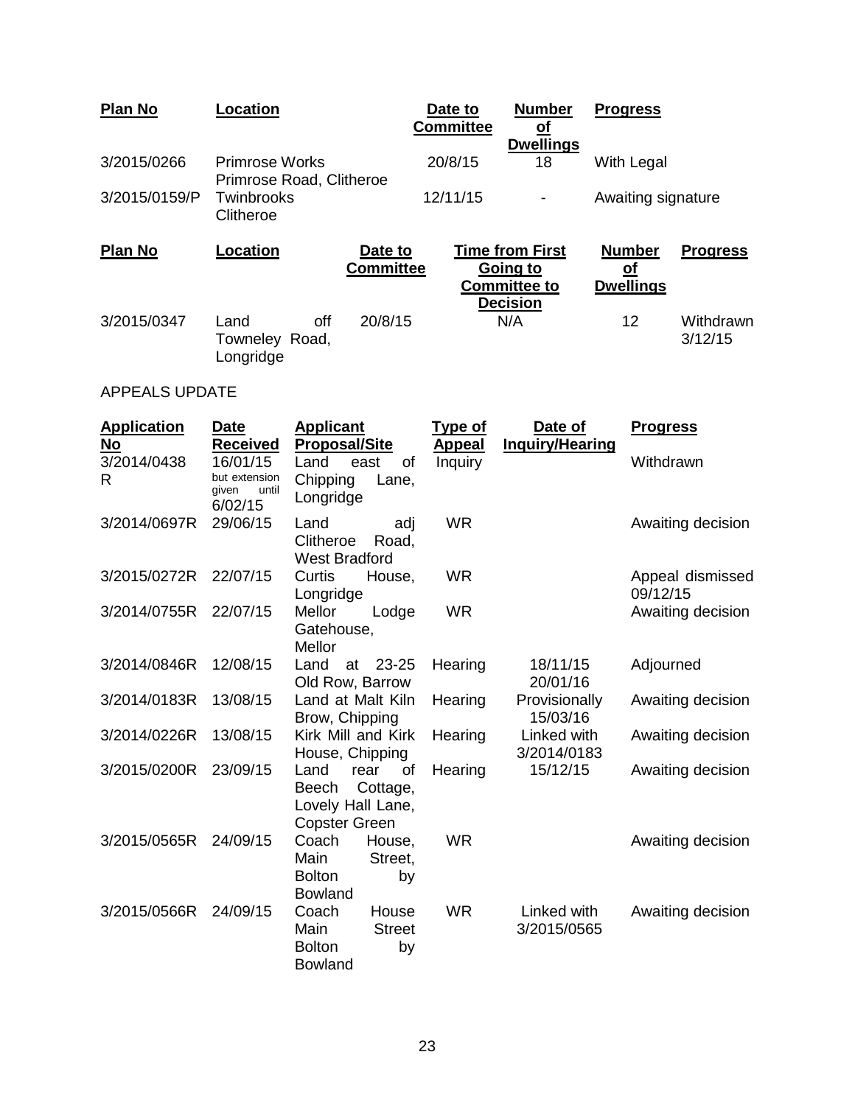| <b>Plan No</b> | Location                                          |                             | Date to<br><b>Committee</b>          | <b>Number</b><br><u>oi</u><br><b>Dwellings</b>                                      | <b>Progress</b>                                |                      |
|----------------|---------------------------------------------------|-----------------------------|--------------------------------------|-------------------------------------------------------------------------------------|------------------------------------------------|----------------------|
| 3/2015/0266    | <b>Primrose Works</b><br>Primrose Road, Clitheroe |                             | 20/8/15                              | 18                                                                                  | With Legal                                     |                      |
| 3/2015/0159/P  | Twinbrooks<br>Clitheroe                           |                             | 12/11/15<br>$\overline{\phantom{a}}$ |                                                                                     | Awaiting signature                             |                      |
| <b>Plan No</b> | Location                                          | Date to<br><b>Committee</b> |                                      | <b>Time from First</b><br><b>Going to</b><br><b>Committee to</b><br><b>Decision</b> | <b>Number</b><br><u>of</u><br><b>Dwellings</b> | <b>Progress</b>      |
| 3/2015/0347    | off<br>Land<br>Towneley Road,<br>Longridge        | 20/8/15                     |                                      | N/A                                                                                 | 12                                             | Withdrawn<br>3/12/15 |

# APPEALS UPDATE

| <b>Application</b><br>No | <b>Date</b><br><b>Received</b>                         | <b>Applicant</b><br><b>Proposal/Site</b>                                             | <b>Type of</b><br>Appeal | Date of<br><b>Inquiry/Hearing</b> | <b>Progress</b>              |
|--------------------------|--------------------------------------------------------|--------------------------------------------------------------------------------------|--------------------------|-----------------------------------|------------------------------|
| 3/2014/0438<br>R         | 16/01/15<br>but extension<br>given<br>until<br>6/02/15 | Land<br>east<br>οf<br>Chipping<br>Lane,<br>Longridge                                 | Inquiry                  |                                   | Withdrawn                    |
| 3/2014/0697R             | 29/06/15                                               | Land<br>adj<br>Clitheroe<br>Road,<br><b>West Bradford</b>                            | <b>WR</b>                |                                   | Awaiting decision            |
| 3/2015/0272R             | 22/07/15                                               | Curtis<br>House,<br>Longridge                                                        | <b>WR</b>                |                                   | Appeal dismissed<br>09/12/15 |
| 3/2014/0755R             | 22/07/15                                               | Mellor<br>Lodge<br>Gatehouse,<br>Mellor                                              | <b>WR</b>                |                                   | Awaiting decision            |
| 3/2014/0846R             | 12/08/15                                               | Land<br>23-25<br>at<br>Old Row, Barrow                                               | Hearing                  | 18/11/15<br>20/01/16              | Adjourned                    |
| 3/2014/0183R             | 13/08/15                                               | Land at Malt Kiln<br>Brow, Chipping                                                  | Hearing                  | Provisionally<br>15/03/16         | Awaiting decision            |
| 3/2014/0226R             | 13/08/15                                               | Kirk Mill and Kirk<br>House, Chipping                                                | Hearing                  | Linked with<br>3/2014/0183        | Awaiting decision            |
| 3/2015/0200R             | 23/09/15                                               | Land<br>rear<br>οf<br>Cottage,<br>Beech<br>Lovely Hall Lane,<br><b>Copster Green</b> | Hearing                  | 15/12/15                          | Awaiting decision            |
| 3/2015/0565R             | 24/09/15                                               | Coach<br>House,<br>Main<br>Street,<br><b>Bolton</b><br>by<br><b>Bowland</b>          | <b>WR</b>                |                                   | Awaiting decision            |
| 3/2015/0566R             | 24/09/15                                               | House<br>Coach<br>Main<br><b>Street</b><br><b>Bolton</b><br>by<br><b>Bowland</b>     | <b>WR</b>                | Linked with<br>3/2015/0565        | Awaiting decision            |